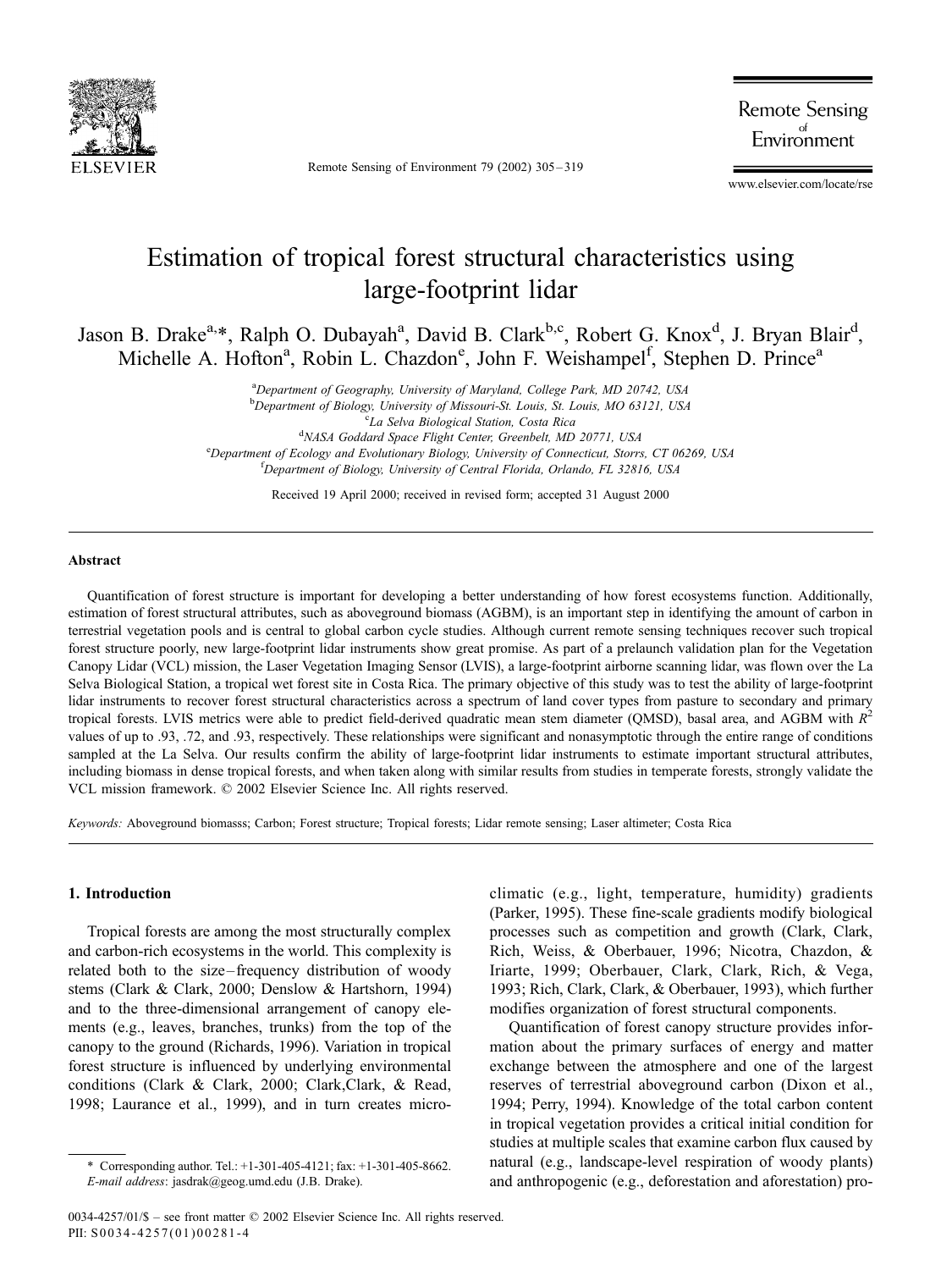

Remote Sensing of Environment 79 (2002) 305 – 319

**Remote Sensing** Environment

www.elsevier.com/locate/rse

# Estimation of tropical forest structural characteristics using large-footprint lidar

Jason B. Drake<sup>a,\*</sup>, Ralph O. Dubayah<sup>a</sup>, David B. Clark<sup>b,c</sup>, Robert G. Knox<sup>d</sup>, J. Bryan Blair<sup>d</sup>, Michelle A. Hofton<sup>a</sup>, Robin L. Chazdon<sup>e</sup>, John F. Weishampel<sup>f</sup>, Stephen D. Prince<sup>a</sup>

> <sup>a</sup>Department of Geography, University of Maryland, College Park, MD 20742, USA b Department of Biology, University of Missouri-St. Louis, St. Louis, MO 63121, USA<br><sup>C</sup>LA Selva Biological Station, Costa Riag La Selva Biological Station, Costa Rica <sup>d</sup> NASA Goddard Space Flight Center, Greenbelt, MD 20771, USA<br><sup>e</sup> Department of Ecology and Evolutionary Biology University of Connecticut, Storm <sup>e</sup>Department of Ecology and Evolutionary Biology, University of Connecticut, Storrs, CT 06269, USA <sup>f</sup>Department of Biology, University of Central Florida, Orlando, FL 32816, USA

> > Received 19 April 2000; received in revised form; accepted 31 August 2000

## Abstract

Quantification of forest structure is important for developing a better understanding of how forest ecosystems function. Additionally, estimation of forest structural attributes, such as aboveground biomass (AGBM), is an important step in identifying the amount of carbon in terrestrial vegetation pools and is central to global carbon cycle studies. Although current remote sensing techniques recover such tropical forest structure poorly, new large-footprint lidar instruments show great promise. As part of a prelaunch validation plan for the Vegetation Canopy Lidar (VCL) mission, the Laser Vegetation Imaging Sensor (LVIS), a large-footprint airborne scanning lidar, was flown over the La Selva Biological Station, a tropical wet forest site in Costa Rica. The primary objective of this study was to test the ability of large-footprint lidar instruments to recover forest structural characteristics across a spectrum of land cover types from pasture to secondary and primary tropical forests. LVIS metrics were able to predict field-derived quadratic mean stem diameter (QMSD), basal area, and AGBM with  $R^2$ values of up to .93, .72, and .93, respectively. These relationships were significant and nonasymptotic through the entire range of conditions sampled at the La Selva. Our results confirm the ability of large-footprint lidar instruments to estimate important structural attributes, including biomass in dense tropical forests, and when taken along with similar results from studies in temperate forests, strongly validate the VCL mission framework.  $© 2002$  Elsevier Science Inc. All rights reserved.

Keywords: Aboveground biomasss; Carbon; Forest structure; Tropical forests; Lidar remote sensing; Laser altimeter; Costa Rica

### 1. Introduction

Tropical forests are among the most structurally complex and carbon-rich ecosystems in the world. This complexity is related both to the size – frequency distribution of woody stems (Clark & Clark, 2000; Denslow & Hartshorn, 1994) and to the three-dimensional arrangement of canopy elements (e.g., leaves, branches, trunks) from the top of the canopy to the ground (Richards, 1996). Variation in tropical forest structure is influenced by underlying environmental conditions (Clark & Clark, 2000; Clark,Clark, & Read, 1998; Laurance et al., 1999), and in turn creates microclimatic (e.g., light, temperature, humidity) gradients (Parker, 1995). These fine-scale gradients modify biological processes such as competition and growth (Clark, Clark, Rich, Weiss, & Oberbauer, 1996; Nicotra, Chazdon, & Iriarte, 1999; Oberbauer, Clark, Clark, Rich, & Vega, 1993; Rich, Clark, Clark, & Oberbauer, 1993), which further modifies organization of forest structural components.

Quantification of forest canopy structure provides information about the primary surfaces of energy and matter exchange between the atmosphere and one of the largest reserves of terrestrial aboveground carbon (Dixon et al., 1994; Perry, 1994). Knowledge of the total carbon content in tropical vegetation provides a critical initial condition for studies at multiple scales that examine carbon flux caused by natural (e.g., landscape-level respiration of woody plants) and anthropogenic (e.g., deforestation and aforestation) pro-

<sup>\*</sup> Corresponding author. Tel.: +1-301-405-4121; fax: +1-301-405-8662. E-mail address: jasdrak@geog.umd.edu (J.B. Drake).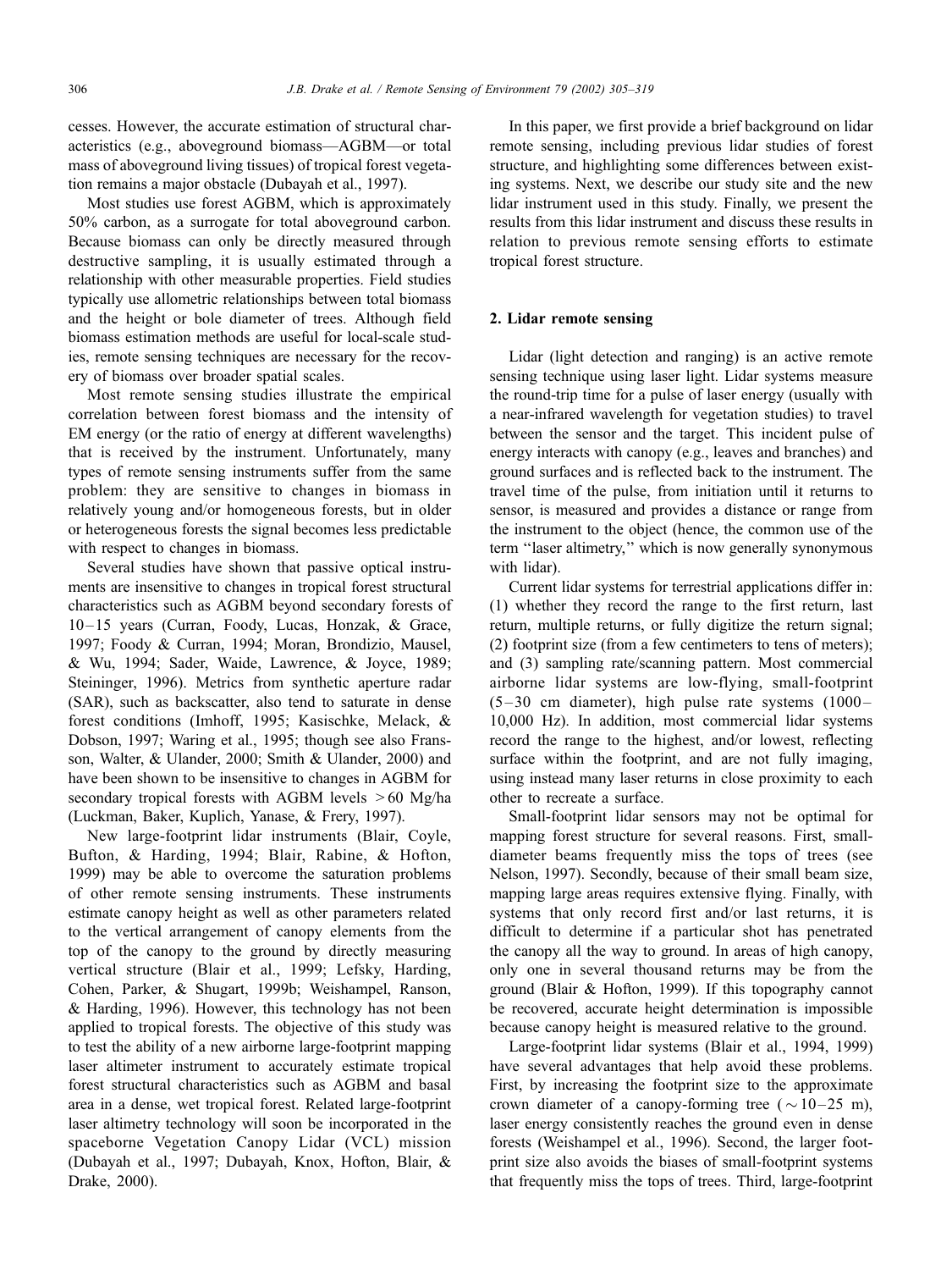cesses. However, the accurate estimation of structural characteristics (e.g., aboveground biomass—AGBM—or total mass of aboveground living tissues) of tropical forest vegetation remains a major obstacle (Dubayah et al., 1997).

Most studies use forest AGBM, which is approximately 50% carbon, as a surrogate for total aboveground carbon. Because biomass can only be directly measured through destructive sampling, it is usually estimated through a relationship with other measurable properties. Field studies typically use allometric relationships between total biomass and the height or bole diameter of trees. Although field biomass estimation methods are useful for local-scale studies, remote sensing techniques are necessary for the recovery of biomass over broader spatial scales.

Most remote sensing studies illustrate the empirical correlation between forest biomass and the intensity of EM energy (or the ratio of energy at different wavelengths) that is received by the instrument. Unfortunately, many types of remote sensing instruments suffer from the same problem: they are sensitive to changes in biomass in relatively young and/or homogeneous forests, but in older or heterogeneous forests the signal becomes less predictable with respect to changes in biomass.

Several studies have shown that passive optical instruments are insensitive to changes in tropical forest structural characteristics such as AGBM beyond secondary forests of 10-15 years (Curran, Foody, Lucas, Honzak, & Grace, 1997; Foody & Curran, 1994; Moran, Brondizio, Mausel, & Wu, 1994; Sader, Waide, Lawrence, & Joyce, 1989; Steininger, 1996). Metrics from synthetic aperture radar (SAR), such as backscatter, also tend to saturate in dense forest conditions (Imhoff, 1995; Kasischke, Melack, & Dobson, 1997; Waring et al., 1995; though see also Fransson, Walter, & Ulander, 2000; Smith & Ulander, 2000) and have been shown to be insensitive to changes in AGBM for secondary tropical forests with AGBM levels  $>60$  Mg/ha (Luckman, Baker, Kuplich, Yanase, & Frery, 1997).

New large-footprint lidar instruments (Blair, Coyle, Bufton, & Harding, 1994; Blair, Rabine, & Hofton, 1999) may be able to overcome the saturation problems of other remote sensing instruments. These instruments estimate canopy height as well as other parameters related to the vertical arrangement of canopy elements from the top of the canopy to the ground by directly measuring vertical structure (Blair et al., 1999; Lefsky, Harding, Cohen, Parker, & Shugart, 1999b; Weishampel, Ranson, & Harding, 1996). However, this technology has not been applied to tropical forests. The objective of this study was to test the ability of a new airborne large-footprint mapping laser altimeter instrument to accurately estimate tropical forest structural characteristics such as AGBM and basal area in a dense, wet tropical forest. Related large-footprint laser altimetry technology will soon be incorporated in the spaceborne Vegetation Canopy Lidar (VCL) mission (Dubayah et al., 1997; Dubayah, Knox, Hofton, Blair, & Drake, 2000).

In this paper, we first provide a brief background on lidar remote sensing, including previous lidar studies of forest structure, and highlighting some differences between existing systems. Next, we describe our study site and the new lidar instrument used in this study. Finally, we present the results from this lidar instrument and discuss these results in relation to previous remote sensing efforts to estimate tropical forest structure.

## 2. Lidar remote sensing

Lidar (light detection and ranging) is an active remote sensing technique using laser light. Lidar systems measure the round-trip time for a pulse of laser energy (usually with a near-infrared wavelength for vegetation studies) to travel between the sensor and the target. This incident pulse of energy interacts with canopy (e.g., leaves and branches) and ground surfaces and is reflected back to the instrument. The travel time of the pulse, from initiation until it returns to sensor, is measured and provides a distance or range from the instrument to the object (hence, the common use of the term ''laser altimetry,'' which is now generally synonymous with lidar).

Current lidar systems for terrestrial applications differ in: (1) whether they record the range to the first return, last return, multiple returns, or fully digitize the return signal; (2) footprint size (from a few centimeters to tens of meters); and (3) sampling rate/scanning pattern. Most commercial airborne lidar systems are low-flying, small-footprint  $(5-30 \text{ cm}$  diameter), high pulse rate systems  $(1000-$ 10,000 Hz). In addition, most commercial lidar systems record the range to the highest, and/or lowest, reflecting surface within the footprint, and are not fully imaging, using instead many laser returns in close proximity to each other to recreate a surface.

Small-footprint lidar sensors may not be optimal for mapping forest structure for several reasons. First, smalldiameter beams frequently miss the tops of trees (see Nelson, 1997). Secondly, because of their small beam size, mapping large areas requires extensive flying. Finally, with systems that only record first and/or last returns, it is difficult to determine if a particular shot has penetrated the canopy all the way to ground. In areas of high canopy, only one in several thousand returns may be from the ground (Blair & Hofton, 1999). If this topography cannot be recovered, accurate height determination is impossible because canopy height is measured relative to the ground.

Large-footprint lidar systems (Blair et al., 1994, 1999) have several advantages that help avoid these problems. First, by increasing the footprint size to the approximate crown diameter of a canopy-forming tree ( $\sim$  10–25 m), laser energy consistently reaches the ground even in dense forests (Weishampel et al., 1996). Second, the larger footprint size also avoids the biases of small-footprint systems that frequently miss the tops of trees. Third, large-footprint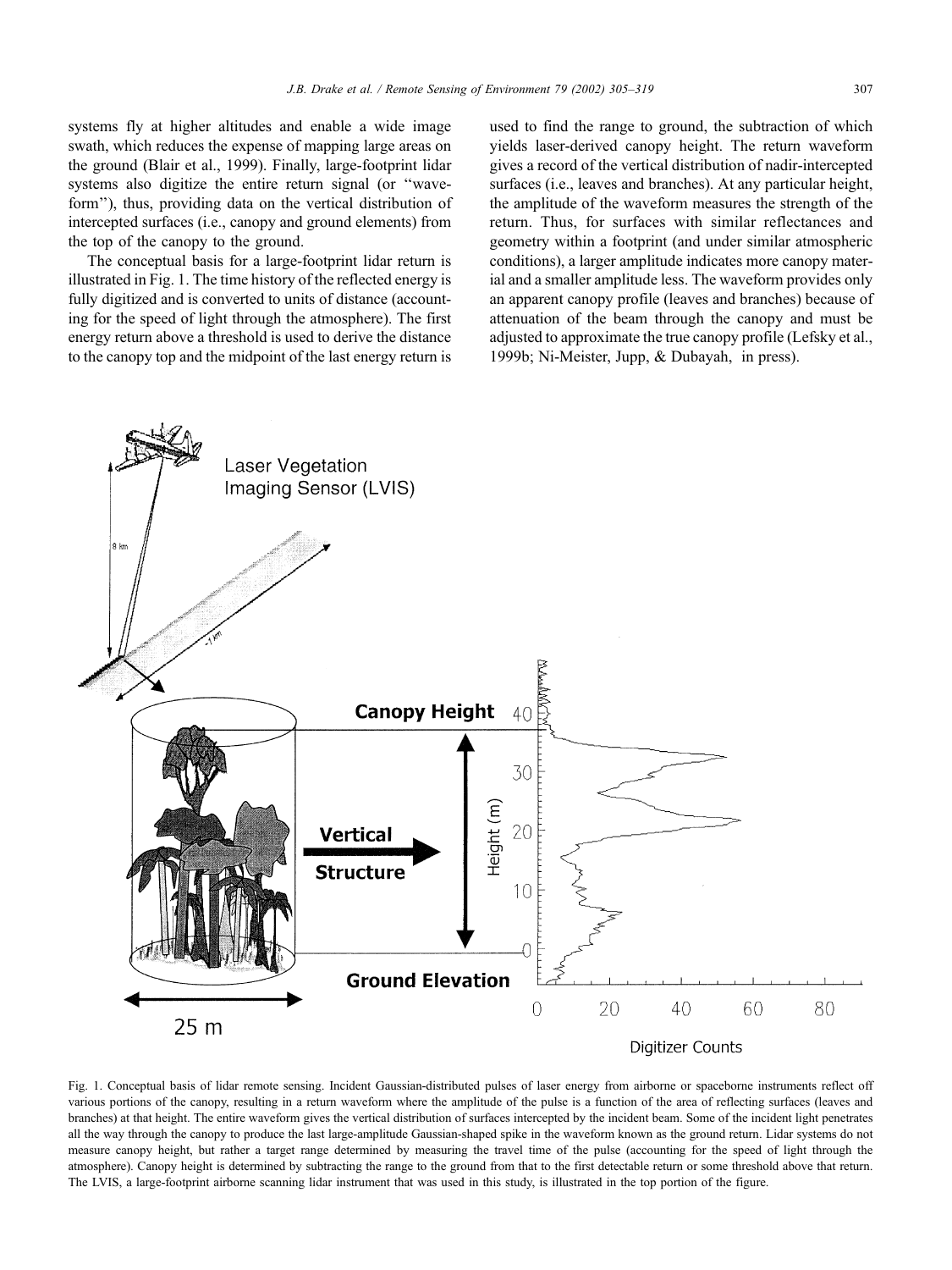systems fly at higher altitudes and enable a wide image swath, which reduces the expense of mapping large areas on the ground (Blair et al., 1999). Finally, large-footprint lidar systems also digitize the entire return signal (or ''waveform''), thus, providing data on the vertical distribution of intercepted surfaces (i.e., canopy and ground elements) from the top of the canopy to the ground.

The conceptual basis for a large-footprint lidar return is illustrated in Fig. 1. The time history of the reflected energy is fully digitized and is converted to units of distance (accounting for the speed of light through the atmosphere). The first energy return above a threshold is used to derive the distance to the canopy top and the midpoint of the last energy return is used to find the range to ground, the subtraction of which yields laser-derived canopy height. The return waveform gives a record of the vertical distribution of nadir-intercepted surfaces (i.e., leaves and branches). At any particular height, the amplitude of the waveform measures the strength of the return. Thus, for surfaces with similar reflectances and geometry within a footprint (and under similar atmospheric conditions), a larger amplitude indicates more canopy material and a smaller amplitude less. The waveform provides only an apparent canopy profile (leaves and branches) because of attenuation of the beam through the canopy and must be adjusted to approximate the true canopy profile (Lefsky et al., 1999b; Ni-Meister, Jupp, & Dubayah, in press).



Fig. 1. Conceptual basis of lidar remote sensing. Incident Gaussian-distributed pulses of laser energy from airborne or spaceborne instruments reflect off various portions of the canopy, resulting in a return waveform where the amplitude of the pulse is a function of the area of reflecting surfaces (leaves and branches) at that height. The entire waveform gives the vertical distribution of surfaces intercepted by the incident beam. Some of the incident light penetrates all the way through the canopy to produce the last large-amplitude Gaussian-shaped spike in the waveform known as the ground return. Lidar systems do not measure canopy height, but rather a target range determined by measuring the travel time of the pulse (accounting for the speed of light through the atmosphere). Canopy height is determined by subtracting the range to the ground from that to the first detectable return or some threshold above that return. The LVIS, a large-footprint airborne scanning lidar instrument that was used in this study, is illustrated in the top portion of the figure.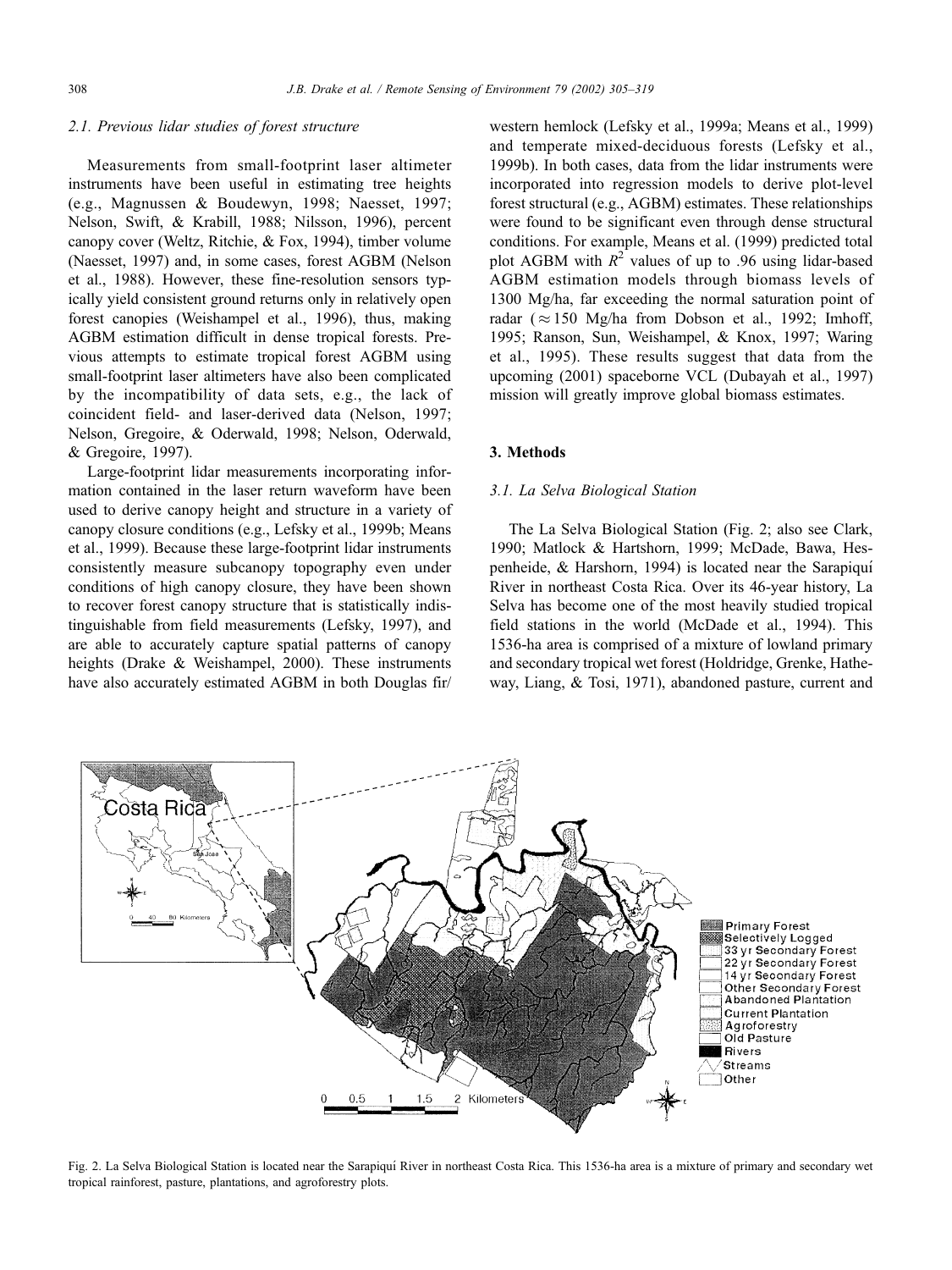#### 2.1. Previous lidar studies of forest structure

Measurements from small-footprint laser altimeter instruments have been useful in estimating tree heights (e.g., Magnussen & Boudewyn, 1998; Naesset, 1997; Nelson, Swift, & Krabill, 1988; Nilsson, 1996), percent canopy cover (Weltz, Ritchie, & Fox, 1994), timber volume (Naesset, 1997) and, in some cases, forest AGBM (Nelson et al., 1988). However, these fine-resolution sensors typically yield consistent ground returns only in relatively open forest canopies (Weishampel et al., 1996), thus, making AGBM estimation difficult in dense tropical forests. Previous attempts to estimate tropical forest AGBM using small-footprint laser altimeters have also been complicated by the incompatibility of data sets, e.g., the lack of coincident field- and laser-derived data (Nelson, 1997; Nelson, Gregoire, & Oderwald, 1998; Nelson, Oderwald, & Gregoire, 1997).

Large-footprint lidar measurements incorporating information contained in the laser return waveform have been used to derive canopy height and structure in a variety of canopy closure conditions (e.g., Lefsky et al., 1999b; Means et al., 1999). Because these large-footprint lidar instruments consistently measure subcanopy topography even under conditions of high canopy closure, they have been shown to recover forest canopy structure that is statistically indistinguishable from field measurements (Lefsky, 1997), and are able to accurately capture spatial patterns of canopy heights (Drake & Weishampel, 2000). These instruments have also accurately estimated AGBM in both Douglas fir/

western hemlock (Lefsky et al., 1999a; Means et al., 1999) and temperate mixed-deciduous forests (Lefsky et al., 1999b). In both cases, data from the lidar instruments were incorporated into regression models to derive plot-level forest structural (e.g., AGBM) estimates. These relationships were found to be significant even through dense structural conditions. For example, Means et al. (1999) predicted total plot AGBM with  $R^2$  values of up to .96 using lidar-based AGBM estimation models through biomass levels of 1300 Mg/ha, far exceeding the normal saturation point of radar ( $\approx$  150 Mg/ha from Dobson et al., 1992; Imhoff, 1995; Ranson, Sun, Weishampel, & Knox, 1997; Waring et al., 1995). These results suggest that data from the upcoming (2001) spaceborne VCL (Dubayah et al., 1997) mission will greatly improve global biomass estimates.

### 3. Methods

#### 3.1. La Selva Biological Station

The La Selva Biological Station (Fig. 2; also see Clark, 1990; Matlock & Hartshorn, 1999; McDade, Bawa, Hespenheide, & Harshorn, 1994) is located near the Sarapiquí River in northeast Costa Rica. Over its 46-year history, La Selva has become one of the most heavily studied tropical field stations in the world (McDade et al., 1994). This 1536-ha area is comprised of a mixture of lowland primary and secondary tropical wet forest (Holdridge, Grenke, Hatheway, Liang, & Tosi, 1971), abandoned pasture, current and



Fig. 2. La Selva Biological Station is located near the Sarapiquı´ River in northeast Costa Rica. This 1536-ha area is a mixture of primary and secondary wet tropical rainforest, pasture, plantations, and agroforestry plots.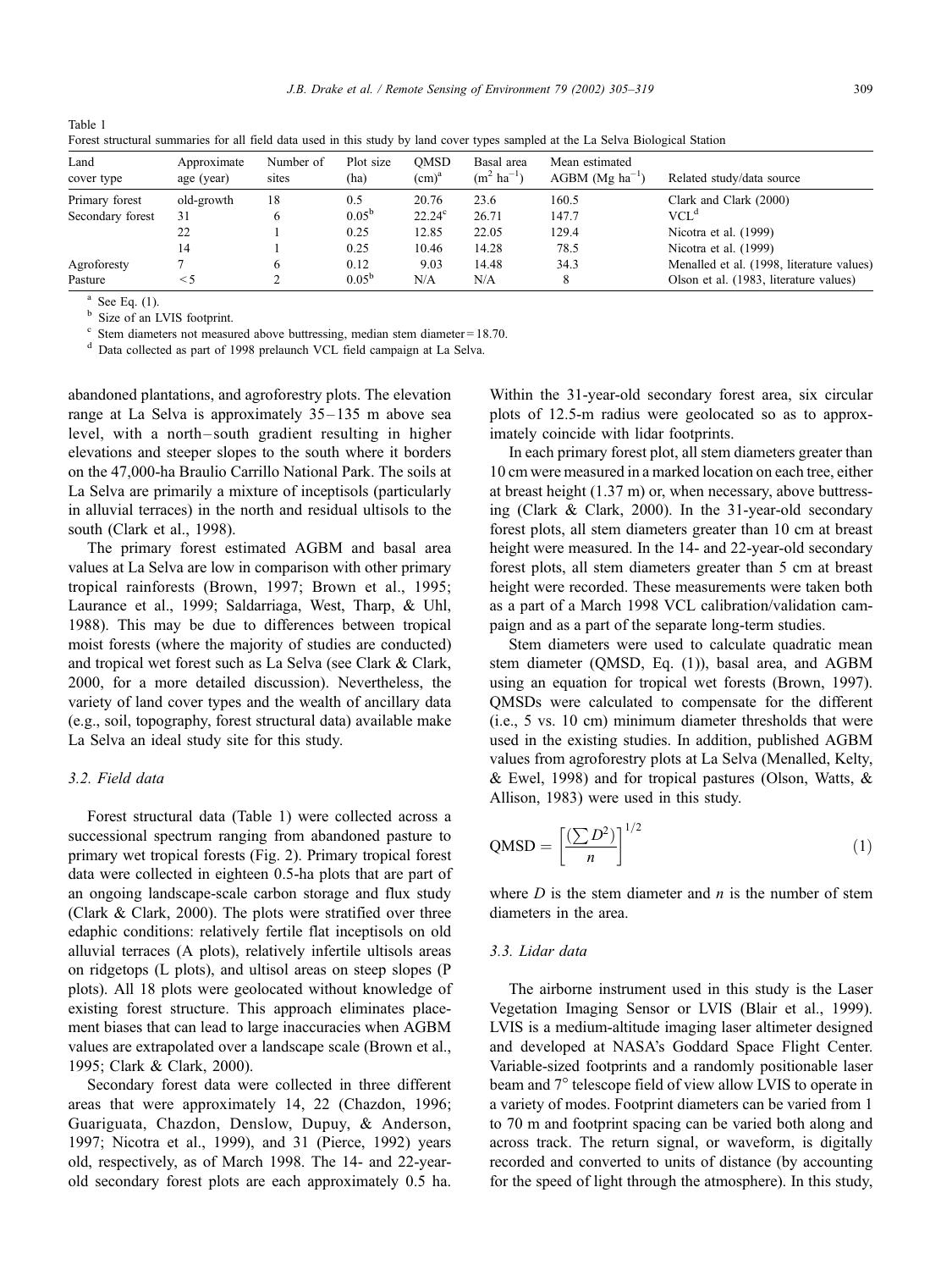| Forest structural summaries for all field data used in this study by land cover types sampled at the La Selva Biological Station |                           |                    |                   |                  |                                       |                                                 |                                           |
|----------------------------------------------------------------------------------------------------------------------------------|---------------------------|--------------------|-------------------|------------------|---------------------------------------|-------------------------------------------------|-------------------------------------------|
| Land<br>cover type                                                                                                               | Approximate<br>age (year) | Number of<br>sites | Plot size<br>(ha) | OMSD<br>$(cm)^a$ | Basal area<br>$(m^2 \text{ ha}^{-1})$ | Mean estimated<br>$AGBM$ (Mg ha <sup>-1</sup> ) | Related study/data source                 |
| Primary forest                                                                                                                   | old-growth                | 18                 | 0.5               | 20.76            | 23.6                                  | 160.5                                           | Clark and Clark (2000)                    |
| Secondary forest                                                                                                                 | 31                        |                    | $0.05^{\rm b}$    | $22.24^{\circ}$  | 26.71                                 | 147.7                                           | $VCL^d$                                   |
|                                                                                                                                  |                           |                    | 0.25              | 12.85            | 22.05                                 | 129.4                                           | Nicotra et al. (1999)                     |
|                                                                                                                                  | 14                        |                    | 0.25              | 10.46            | 14.28                                 | 78.5                                            | Nicotra et al. (1999)                     |
| Agroforesty                                                                                                                      |                           |                    | 0.12              | 9.03             | 14.48                                 | 34.3                                            | Menalled et al. (1998, literature values) |
| Pasture                                                                                                                          |                           |                    | $0.05^{\rm b}$    | N/A              | N/A                                   | 8                                               | Olson et al. (1983, literature values)    |

Forest structural summaries for all field data used in this study by land cover types sampled at the La Selva Biological Station

Table 1

 $b^a$  See Eq. (1).<br>b Size of an LVIS footprint.

 $\degree$  Stem diameters not measured above buttressing, median stem diameter = 18.70. d Data collected as part of 1998 prelaunch VCL field campaign at La Selva.

abandoned plantations, and agroforestry plots. The elevation range at La Selva is approximately 35– 135 m above sea level, with a north– south gradient resulting in higher elevations and steeper slopes to the south where it borders on the 47,000-ha Braulio Carrillo National Park. The soils at La Selva are primarily a mixture of inceptisols (particularly in alluvial terraces) in the north and residual ultisols to the south (Clark et al., 1998).

The primary forest estimated AGBM and basal area values at La Selva are low in comparison with other primary tropical rainforests (Brown, 1997; Brown et al., 1995; Laurance et al., 1999; Saldarriaga, West, Tharp, & Uhl, 1988). This may be due to differences between tropical moist forests (where the majority of studies are conducted) and tropical wet forest such as La Selva (see Clark & Clark, 2000, for a more detailed discussion). Nevertheless, the variety of land cover types and the wealth of ancillary data (e.g., soil, topography, forest structural data) available make La Selva an ideal study site for this study.

# 3.2. Field data

Forest structural data (Table 1) were collected across a successional spectrum ranging from abandoned pasture to primary wet tropical forests (Fig. 2). Primary tropical forest data were collected in eighteen 0.5-ha plots that are part of an ongoing landscape-scale carbon storage and flux study (Clark & Clark, 2000). The plots were stratified over three edaphic conditions: relatively fertile flat inceptisols on old alluvial terraces (A plots), relatively infertile ultisols areas on ridgetops (L plots), and ultisol areas on steep slopes (P plots). All 18 plots were geolocated without knowledge of existing forest structure. This approach eliminates placement biases that can lead to large inaccuracies when AGBM values are extrapolated over a landscape scale (Brown et al., 1995; Clark & Clark, 2000).

Secondary forest data were collected in three different areas that were approximately 14, 22 (Chazdon, 1996; Guariguata, Chazdon, Denslow, Dupuy, & Anderson, 1997; Nicotra et al., 1999), and 31 (Pierce, 1992) years old, respectively, as of March 1998. The 14- and 22-yearold secondary forest plots are each approximately 0.5 ha.

Within the 31-year-old secondary forest area, six circular plots of 12.5-m radius were geolocated so as to approximately coincide with lidar footprints.

In each primary forest plot, all stem diameters greater than 10 cm were measured in a marked location on each tree, either at breast height (1.37 m) or, when necessary, above buttressing (Clark & Clark, 2000). In the 31-year-old secondary forest plots, all stem diameters greater than 10 cm at breast height were measured. In the 14- and 22-year-old secondary forest plots, all stem diameters greater than 5 cm at breast height were recorded. These measurements were taken both as a part of a March 1998 VCL calibration/validation campaign and as a part of the separate long-term studies.

Stem diameters were used to calculate quadratic mean stem diameter (QMSD, Eq. (1)), basal area, and AGBM using an equation for tropical wet forests (Brown, 1997). QMSDs were calculated to compensate for the different (i.e., 5 vs. 10 cm) minimum diameter thresholds that were used in the existing studies. In addition, published AGBM values from agroforestry plots at La Selva (Menalled, Kelty, & Ewel, 1998) and for tropical pastures (Olson, Watts, & Allison, 1983) were used in this study.

$$
QMSD = \left[\frac{(\sum D^2)}{n}\right]^{1/2} \tag{1}
$$

where  $D$  is the stem diameter and  $n$  is the number of stem diameters in the area.

## 3.3. Lidar data

The airborne instrument used in this study is the Laser Vegetation Imaging Sensor or LVIS (Blair et al., 1999). LVIS is a medium-altitude imaging laser altimeter designed and developed at NASA's Goddard Space Flight Center. Variable-sized footprints and a randomly positionable laser beam and 7° telescope field of view allow LVIS to operate in a variety of modes. Footprint diameters can be varied from 1 to 70 m and footprint spacing can be varied both along and across track. The return signal, or waveform, is digitally recorded and converted to units of distance (by accounting for the speed of light through the atmosphere). In this study,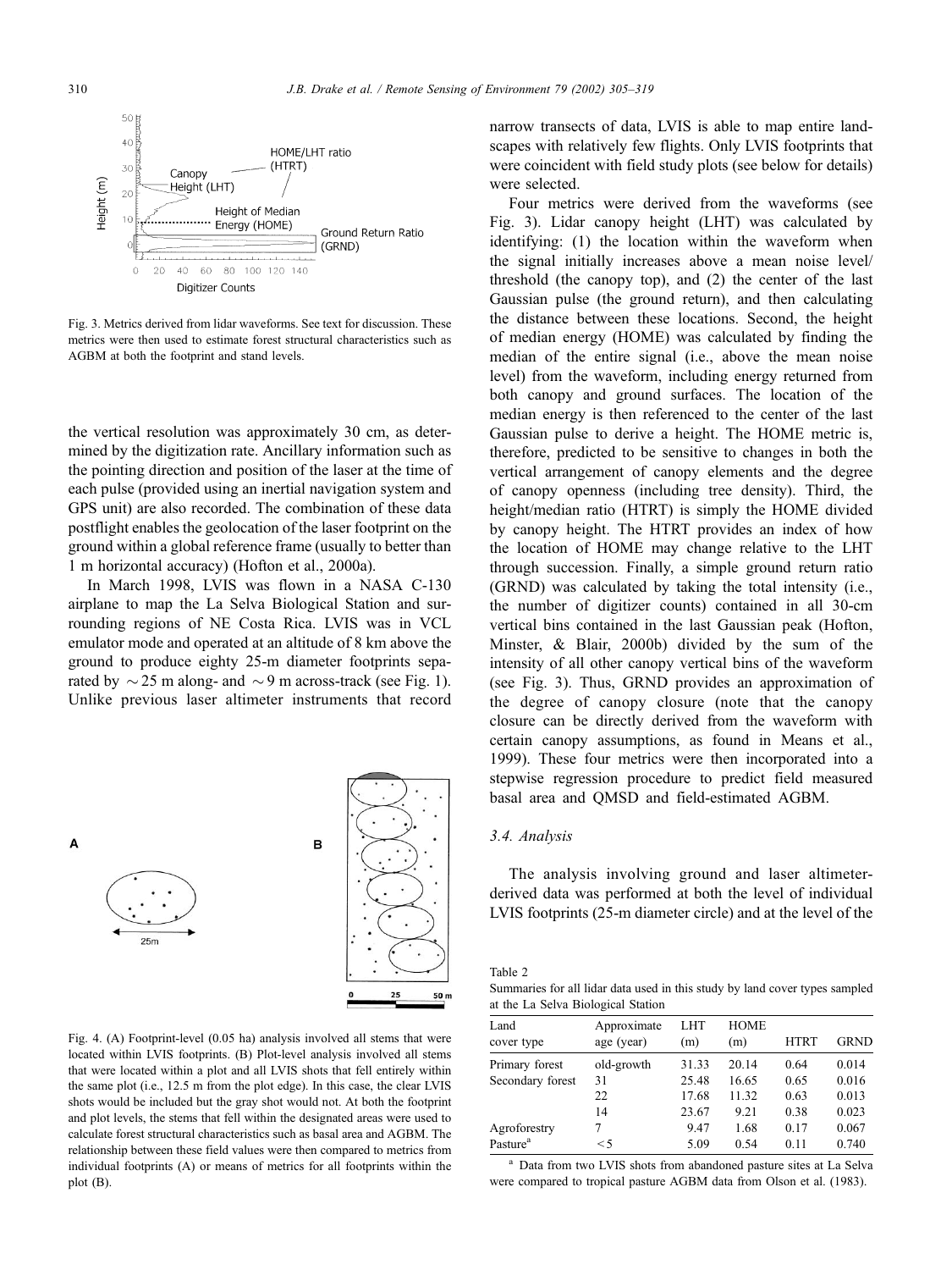

Fig. 3. Metrics derived from lidar waveforms. See text for discussion. These metrics were then used to estimate forest structural characteristics such as AGBM at both the footprint and stand levels.

the vertical resolution was approximately 30 cm, as determined by the digitization rate. Ancillary information such as the pointing direction and position of the laser at the time of each pulse (provided using an inertial navigation system and GPS unit) are also recorded. The combination of these data postflight enables the geolocation of the laser footprint on the ground within a global reference frame (usually to better than 1 m horizontal accuracy) (Hofton et al., 2000a).

In March 1998, LVIS was flown in a NASA C-130 airplane to map the La Selva Biological Station and surrounding regions of NE Costa Rica. LVIS was in VCL emulator mode and operated at an altitude of 8 km above the ground to produce eighty 25-m diameter footprints separated by  $\sim$  25 m along- and  $\sim$  9 m across-track (see Fig. 1). Unlike previous laser altimeter instruments that record



Fig. 4. (A) Footprint-level (0.05 ha) analysis involved all stems that were located within LVIS footprints. (B) Plot-level analysis involved all stems that were located within a plot and all LVIS shots that fell entirely within the same plot (i.e., 12.5 m from the plot edge). In this case, the clear LVIS shots would be included but the gray shot would not. At both the footprint and plot levels, the stems that fell within the designated areas were used to calculate forest structural characteristics such as basal area and AGBM. The relationship between these field values were then compared to metrics from individual footprints (A) or means of metrics for all footprints within the plot (B).

narrow transects of data, LVIS is able to map entire landscapes with relatively few flights. Only LVIS footprints that were coincident with field study plots (see below for details) were selected.

Four metrics were derived from the waveforms (see Fig. 3). Lidar canopy height (LHT) was calculated by identifying: (1) the location within the waveform when the signal initially increases above a mean noise level/ threshold (the canopy top), and (2) the center of the last Gaussian pulse (the ground return), and then calculating the distance between these locations. Second, the height of median energy (HOME) was calculated by finding the median of the entire signal (i.e., above the mean noise level) from the waveform, including energy returned from both canopy and ground surfaces. The location of the median energy is then referenced to the center of the last Gaussian pulse to derive a height. The HOME metric is, therefore, predicted to be sensitive to changes in both the vertical arrangement of canopy elements and the degree of canopy openness (including tree density). Third, the height/median ratio (HTRT) is simply the HOME divided by canopy height. The HTRT provides an index of how the location of HOME may change relative to the LHT through succession. Finally, a simple ground return ratio (GRND) was calculated by taking the total intensity (i.e., the number of digitizer counts) contained in all 30-cm vertical bins contained in the last Gaussian peak (Hofton, Minster, & Blair, 2000b) divided by the sum of the intensity of all other canopy vertical bins of the waveform (see Fig. 3). Thus, GRND provides an approximation of the degree of canopy closure (note that the canopy closure can be directly derived from the waveform with certain canopy assumptions, as found in Means et al., 1999). These four metrics were then incorporated into a stepwise regression procedure to predict field measured basal area and QMSD and field-estimated AGBM.

## 3.4. Analysis

The analysis involving ground and laser altimeterderived data was performed at both the level of individual LVIS footprints (25-m diameter circle) and at the level of the

Table 2

Summaries for all lidar data used in this study by land cover types sampled at the La Selva Biological Station

| Land<br>cover type   | Approximate<br>age (year) | <b>LHT</b><br>(m) | <b>HOME</b><br>(m) | <b>HTRT</b> | <b>GRND</b> |
|----------------------|---------------------------|-------------------|--------------------|-------------|-------------|
| Primary forest       | old-growth                | 31.33             | 20.14              | 0.64        | 0.014       |
| Secondary forest     | 31                        | 25.48             | 16.65              | 0.65        | 0.016       |
|                      | 22                        | 17.68             | 11.32              | 0.63        | 0.013       |
|                      | 14                        | 23.67             | 9.21               | 0.38        | 0.023       |
| Agroforestry         | 7                         | 9.47              | 1.68               | 0.17        | 0.067       |
| Pasture <sup>a</sup> | $\leq$ 5                  | 5.09              | 0.54               | 0.11        | 0.740       |

<sup>a</sup> Data from two LVIS shots from abandoned pasture sites at La Selva were compared to tropical pasture AGBM data from Olson et al. (1983).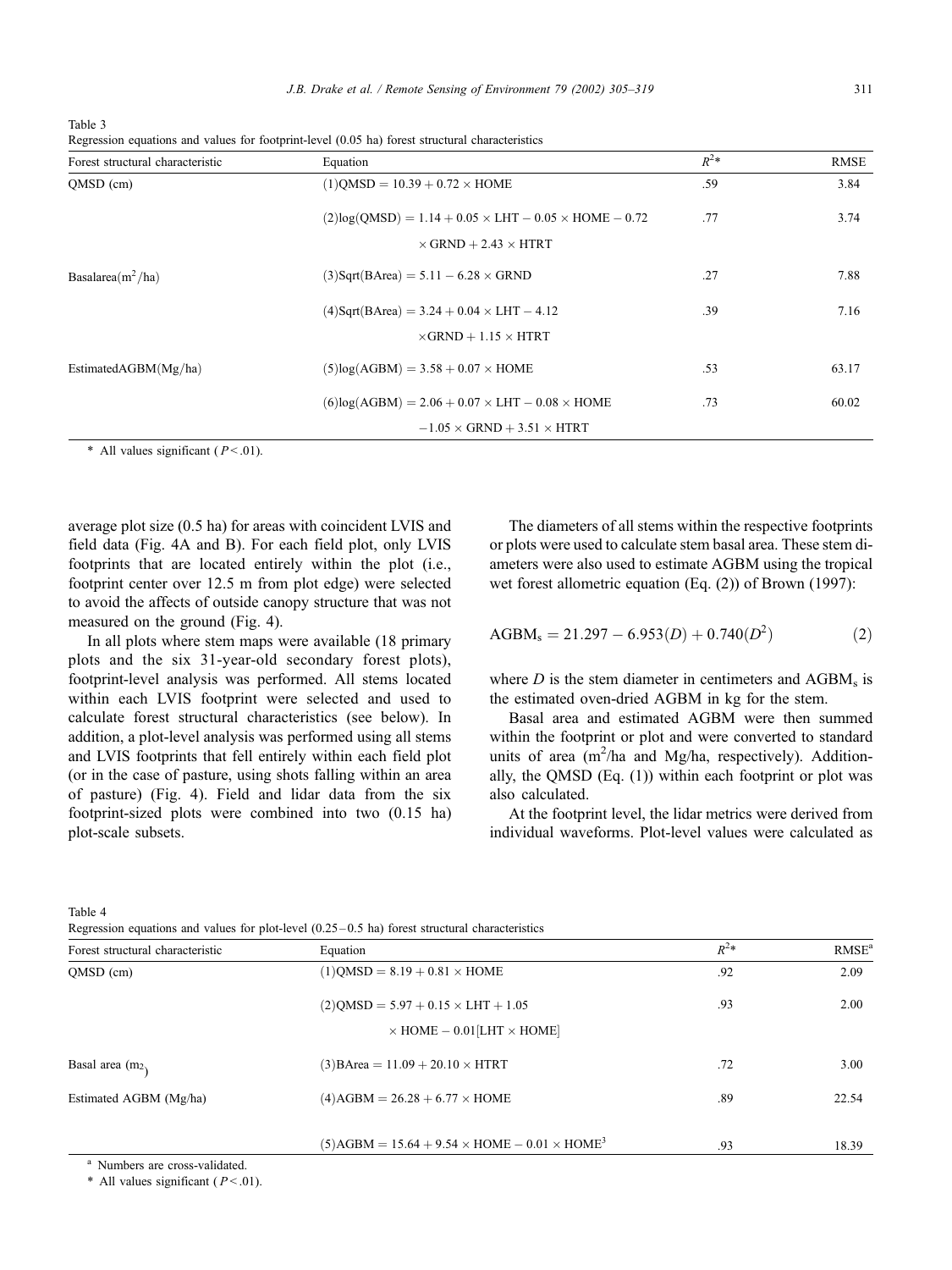Table 3

|  |  |  |  |  | Regression equations and values for footprint-level (0.05 ha) forest structural characteristics |
|--|--|--|--|--|-------------------------------------------------------------------------------------------------|
|  |  |  |  |  |                                                                                                 |

| Forest structural characteristic | Equation                                                          | $R^2*$ | RMSE  |
|----------------------------------|-------------------------------------------------------------------|--------|-------|
| QMSD (cm)                        | $(1)$ QMSD = 10.39 + 0.72 $\times$ HOME                           | .59    | 3.84  |
|                                  | $(2)log(QMSD) = 1.14 + 0.05 \times LHT - 0.05 \times HOME - 0.72$ | .77    | 3.74  |
|                                  | $\times$ GRND + 2.43 $\times$ HTRT                                |        |       |
| Basalarea $(m^2/ha)$             | $(3)$ Sqrt $(BArea) = 5.11 - 6.28 \times GRND$                    | .27    | 7.88  |
|                                  | $(4)$ Sqrt $(BArea) = 3.24 + 0.04 \times LHT - 4.12$              | .39    | 7.16  |
|                                  | $\times$ GRND + 1.15 $\times$ HTRT                                |        |       |
| Estimated $AGBM(Mg/ha)$          | $(5)log(AGBM) = 3.58 + 0.07 \times HOME$                          | .53    | 63.17 |
|                                  | $(6)$ log(AGBM) = 2.06 + 0.07 × LHT – 0.08 × HOME                 | .73    | 60.02 |
|                                  | $-1.05 \times$ GRND + 3.51 $\times$ HTRT                          |        |       |

\* All values significant ( $P < .01$ ).

average plot size (0.5 ha) for areas with coincident LVIS and field data (Fig. 4A and B). For each field plot, only LVIS footprints that are located entirely within the plot (i.e., footprint center over 12.5 m from plot edge) were selected to avoid the affects of outside canopy structure that was not measured on the ground (Fig. 4).

In all plots where stem maps were available (18 primary plots and the six 31-year-old secondary forest plots), footprint-level analysis was performed. All stems located within each LVIS footprint were selected and used to calculate forest structural characteristics (see below). In addition, a plot-level analysis was performed using all stems and LVIS footprints that fell entirely within each field plot (or in the case of pasture, using shots falling within an area of pasture) (Fig. 4). Field and lidar data from the six footprint-sized plots were combined into two (0.15 ha) plot-scale subsets.

The diameters of all stems within the respective footprints or plots were used to calculate stem basal area. These stem diameters were also used to estimate AGBM using the tropical wet forest allometric equation (Eq. (2)) of Brown (1997):

$$
AGBMs = 21.297 - 6.953(D) + 0.740(D2)
$$
 (2)

where  $D$  is the stem diameter in centimeters and  $AGBM<sub>s</sub>$  is the estimated oven-dried AGBM in kg for the stem.

Basal area and estimated AGBM were then summed within the footprint or plot and were converted to standard units of area (m<sup>2</sup>/ha and Mg/ha, respectively). Additionally, the QMSD (Eq. (1)) within each footprint or plot was also calculated.

At the footprint level, the lidar metrics were derived from individual waveforms. Plot-level values were calculated as

| I |  |
|---|--|
|---|--|

|  |  |  | Regression equations and values for plot-level $(0.25-0.5 \text{ ha})$ forest structural characteristics |
|--|--|--|----------------------------------------------------------------------------------------------------------|
|--|--|--|----------------------------------------------------------------------------------------------------------|

| Forest structural characteristic | Equation                                                                                   | $R^{2*}$ | RMSE <sup>a</sup> |
|----------------------------------|--------------------------------------------------------------------------------------------|----------|-------------------|
| QMSD (cm)                        | $(1)$ QMSD = 8.19 + 0.81 $\times$ HOME                                                     | .92      | 2.09              |
|                                  | $(2)$ QMSD = 5.97 + 0.15 $\times$ LHT + 1.05<br>$\times$ HOME $-$ 0.01 [LHT $\times$ HOME] | .93      | 2.00              |
| Basal area $(m2)$                | $(3)$ BArea = 11.09 + 20.10 $\times$ HTRT                                                  | .72      | 3.00              |
| Estimated AGBM (Mg/ha)           | $(4)$ AGBM = 26.28 + 6.77 $\times$ HOME                                                    | .89      | 22.54             |
|                                  | $(5)AGBM = 15.64 + 9.54 \times HOME - 0.01 \times HOME^{3}$                                | .93      | 18.39             |

<sup>a</sup> Numbers are cross-validated.

\* All values significant ( $P < .01$ ).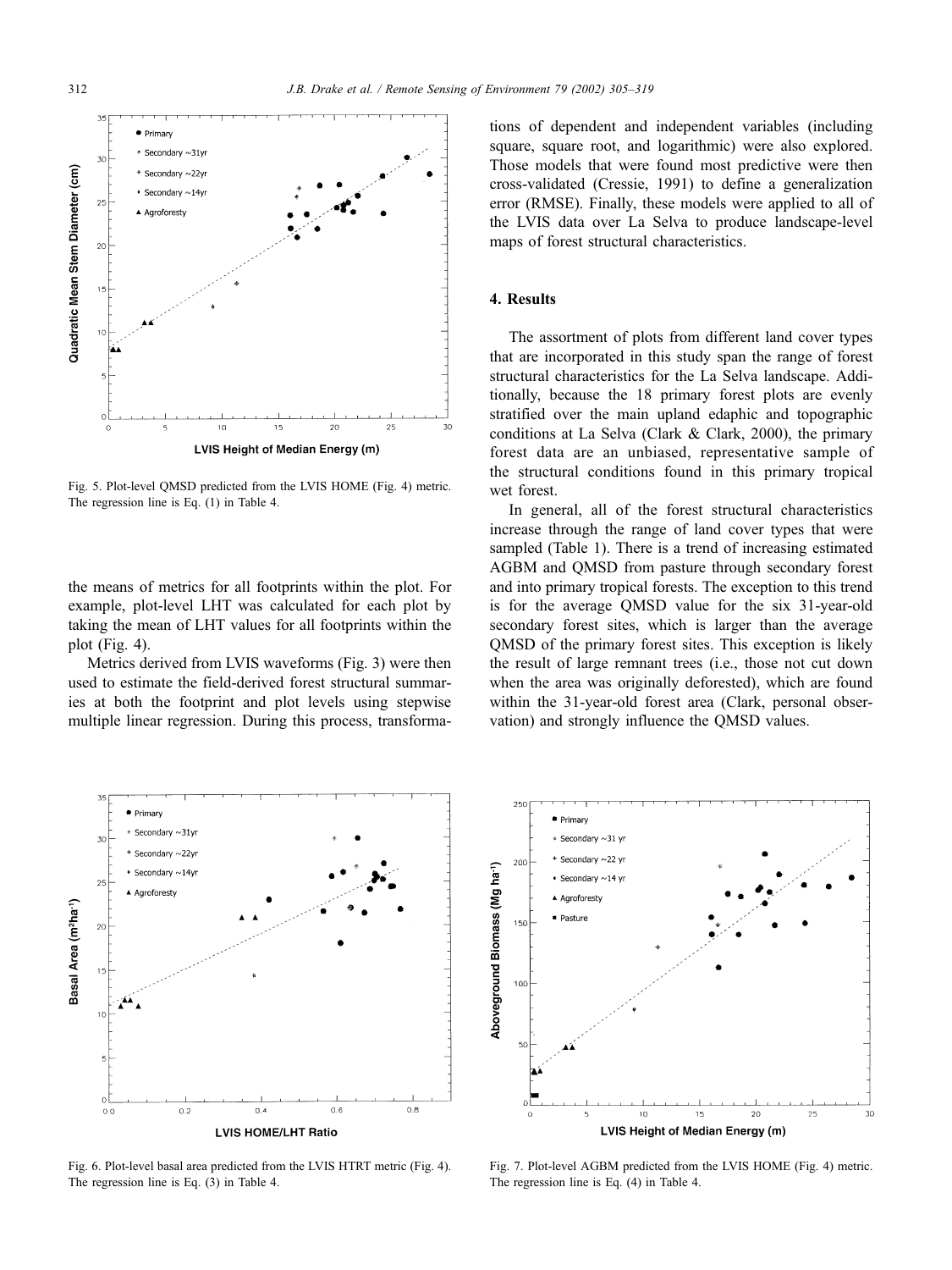

Fig. 5. Plot-level QMSD predicted from the LVIS HOME (Fig. 4) metric. The regression line is Eq. (1) in Table 4.

the means of metrics for all footprints within the plot. For example, plot-level LHT was calculated for each plot by taking the mean of LHT values for all footprints within the plot (Fig. 4).

Metrics derived from LVIS waveforms (Fig. 3) were then used to estimate the field-derived forest structural summaries at both the footprint and plot levels using stepwise multiple linear regression. During this process, transformations of dependent and independent variables (including square, square root, and logarithmic) were also explored. Those models that were found most predictive were then cross-validated (Cressie, 1991) to define a generalization error (RMSE). Finally, these models were applied to all of the LVIS data over La Selva to produce landscape-level maps of forest structural characteristics.

# 4. Results

The assortment of plots from different land cover types that are incorporated in this study span the range of forest structural characteristics for the La Selva landscape. Additionally, because the 18 primary forest plots are evenly stratified over the main upland edaphic and topographic conditions at La Selva (Clark & Clark, 2000), the primary forest data are an unbiased, representative sample of the structural conditions found in this primary tropical wet forest.

In general, all of the forest structural characteristics increase through the range of land cover types that were sampled (Table 1). There is a trend of increasing estimated AGBM and QMSD from pasture through secondary forest and into primary tropical forests. The exception to this trend is for the average QMSD value for the six 31-year-old secondary forest sites, which is larger than the average QMSD of the primary forest sites. This exception is likely the result of large remnant trees (i.e., those not cut down when the area was originally deforested), which are found within the 31-year-old forest area (Clark, personal observation) and strongly influence the QMSD values.



Fig. 6. Plot-level basal area predicted from the LVIS HTRT metric (Fig. 4). The regression line is Eq. (3) in Table 4.



Fig. 7. Plot-level AGBM predicted from the LVIS HOME (Fig. 4) metric. The regression line is Eq. (4) in Table 4.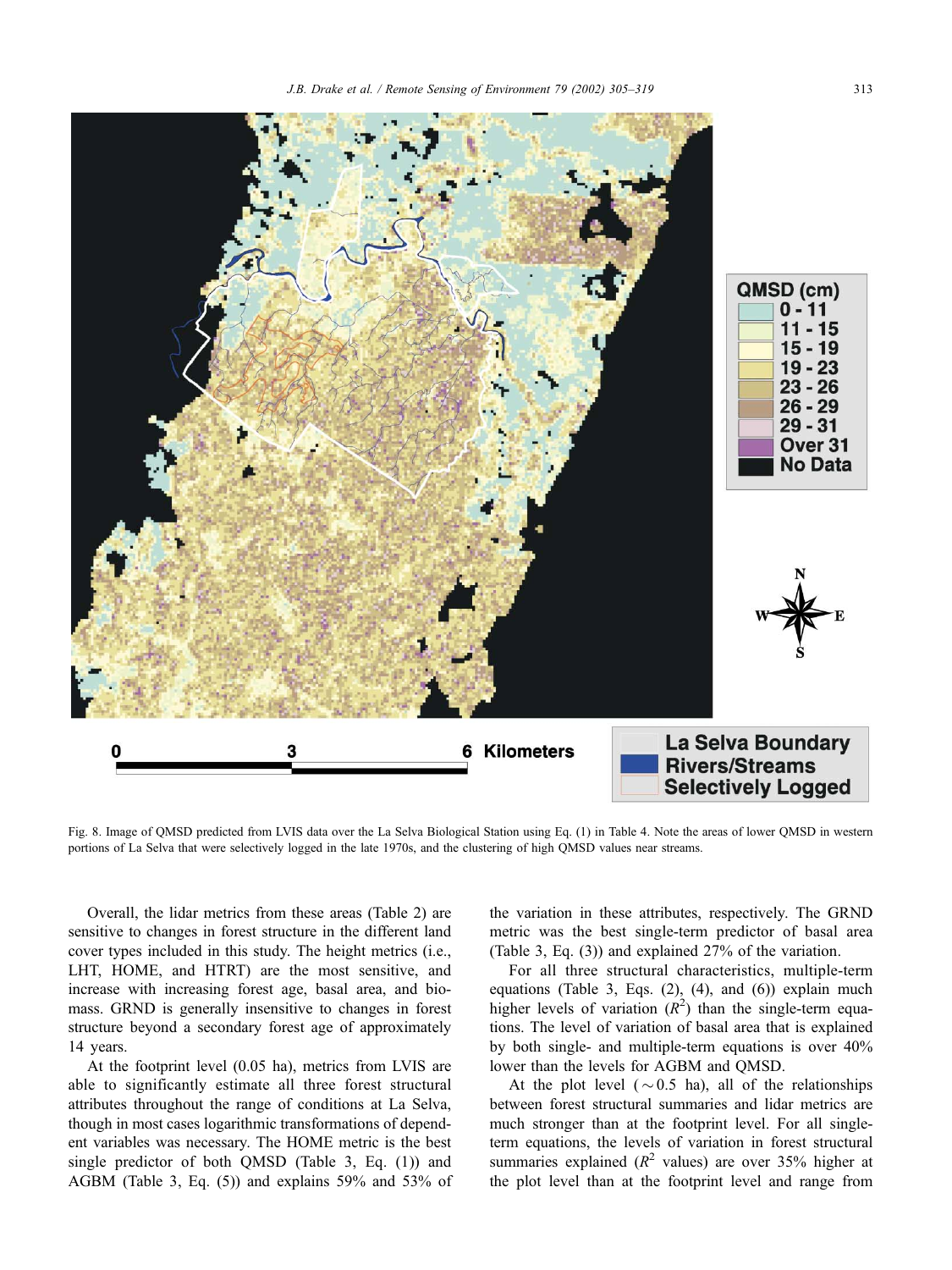

Fig. 8. Image of QMSD predicted from LVIS data over the La Selva Biological Station using Eq. (1) in Table 4. Note the areas of lower QMSD in western portions of La Selva that were selectively logged in the late 1970s, and the clustering of high QMSD values near streams.

Overall, the lidar metrics from these areas (Table 2) are sensitive to changes in forest structure in the different land cover types included in this study. The height metrics (i.e., LHT, HOME, and HTRT) are the most sensitive, and increase with increasing forest age, basal area, and biomass. GRND is generally insensitive to changes in forest structure beyond a secondary forest age of approximately 14 years.

At the footprint level (0.05 ha), metrics from LVIS are able to significantly estimate all three forest structural attributes throughout the range of conditions at La Selva, though in most cases logarithmic transformations of dependent variables was necessary. The HOME metric is the best single predictor of both QMSD (Table 3, Eq. (1)) and AGBM (Table 3, Eq. (5)) and explains 59% and 53% of the variation in these attributes, respectively. The GRND metric was the best single-term predictor of basal area (Table 3, Eq. (3)) and explained 27% of the variation.

For all three structural characteristics, multiple-term equations (Table 3, Eqs. (2), (4), and (6)) explain much higher levels of variation  $(R^2)$  than the single-term equations. The level of variation of basal area that is explained by both single- and multiple-term equations is over 40% lower than the levels for AGBM and QMSD.

At the plot level ( $\sim$  0.5 ha), all of the relationships between forest structural summaries and lidar metrics are much stronger than at the footprint level. For all singleterm equations, the levels of variation in forest structural summaries explained ( $R^2$  values) are over 35% higher at the plot level than at the footprint level and range from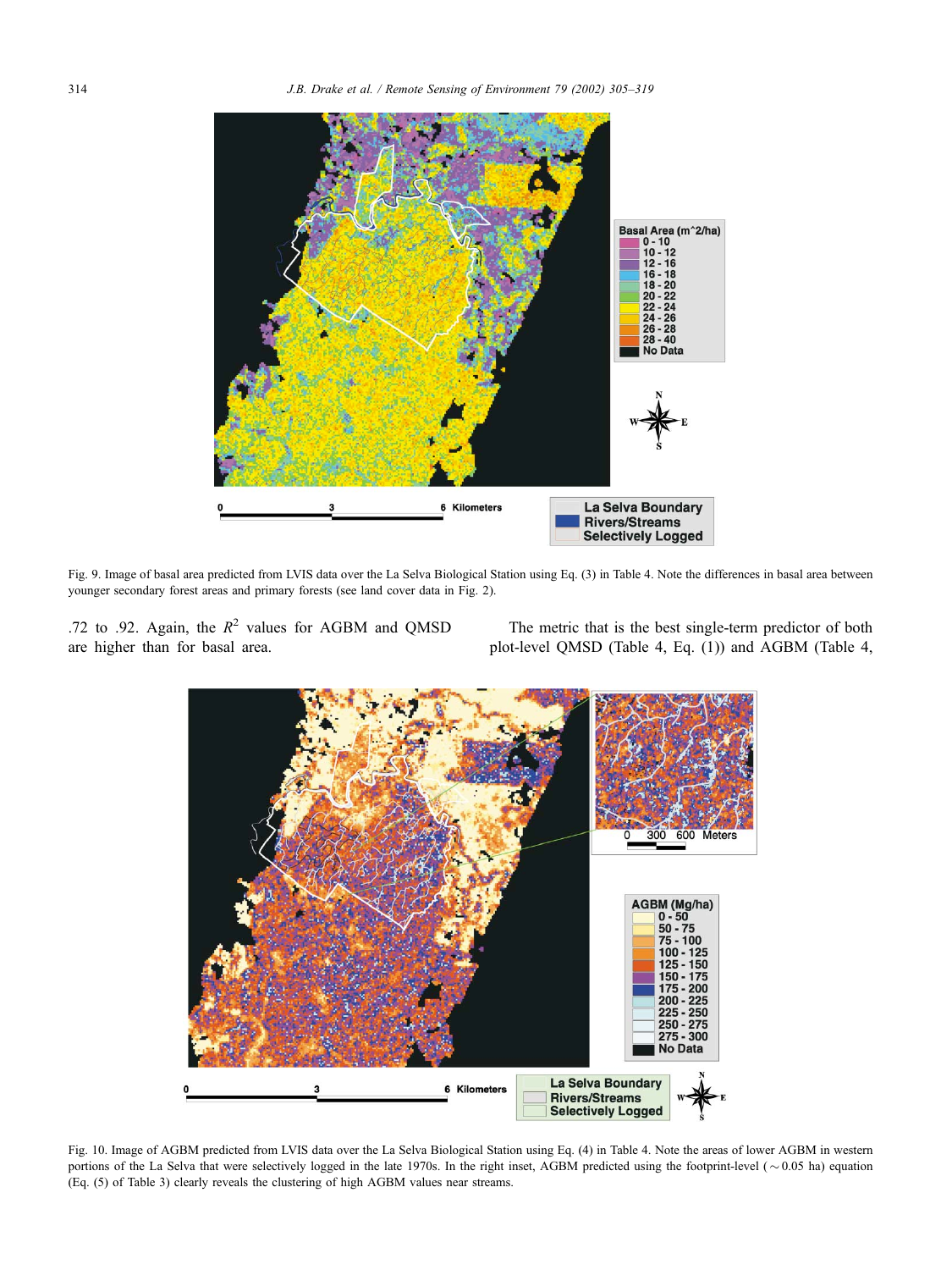

Fig. 9. Image of basal area predicted from LVIS data over the La Selva Biological Station using Eq. (3) in Table 4. Note the differences in basal area between younger secondary forest areas and primary forests (see land cover data in Fig. 2).

.72 to .92. Again, the  $R^2$  values for AGBM and QMSD are higher than for basal area.

The metric that is the best single-term predictor of both plot-level QMSD (Table 4, Eq. (1)) and AGBM (Table 4,



Fig. 10. Image of AGBM predicted from LVIS data over the La Selva Biological Station using Eq. (4) in Table 4. Note the areas of lower AGBM in western portions of the La Selva that were selectively logged in the late 1970s. In the right inset, AGBM predicted using the footprint-level ( $\sim 0.05$  ha) equation (Eq. (5) of Table 3) clearly reveals the clustering of high AGBM values near streams.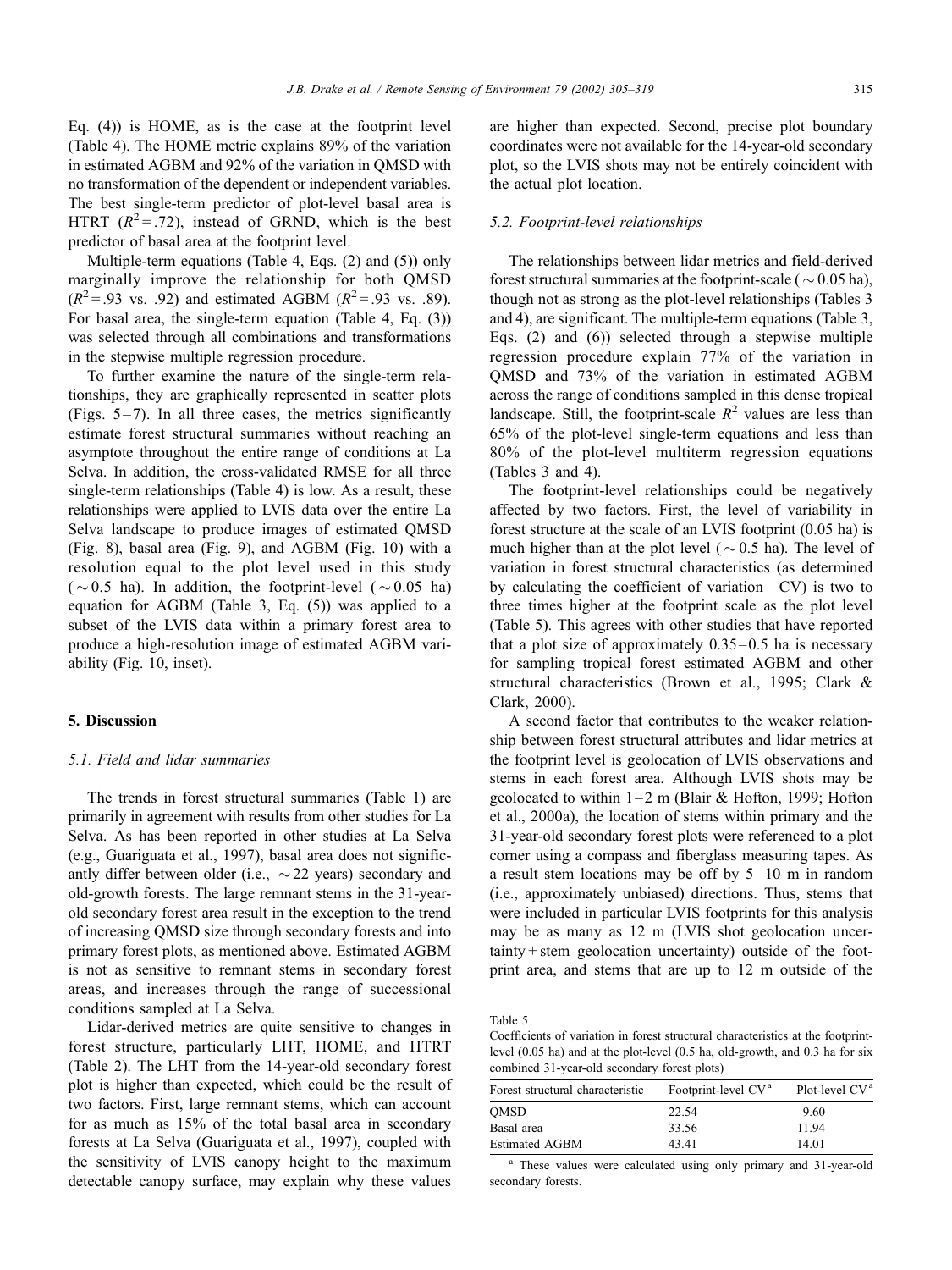Eq. (4)) is HOME, as is the case at the footprint level (Table 4). The HOME metric explains 89% of the variation in estimated AGBM and 92% of the variation in QMSD with no transformation of the dependent or independent variables. The best single-term predictor of plot-level basal area is HTRT  $(R^2 = .72)$ , instead of GRND, which is the best predictor of basal area at the footprint level.

Multiple-term equations (Table 4, Eqs. (2) and (5)) only marginally improve the relationship for both QMSD  $(R^2 = .93 \text{ vs. } .92)$  and estimated AGBM  $(R^2 = .93 \text{ vs. } .89)$ . For basal area, the single-term equation (Table 4, Eq. (3)) was selected through all combinations and transformations in the stepwise multiple regression procedure.

To further examine the nature of the single-term relationships, they are graphically represented in scatter plots (Figs.  $5-7$ ). In all three cases, the metrics significantly estimate forest structural summaries without reaching an asymptote throughout the entire range of conditions at La Selva. In addition, the cross-validated RMSE for all three single-term relationships (Table 4) is low. As a result, these relationships were applied to LVIS data over the entire La Selva landscape to produce images of estimated QMSD (Fig. 8), basal area (Fig. 9), and AGBM (Fig. 10) with a resolution equal to the plot level used in this study ( $\sim$  0.5 ha). In addition, the footprint-level ( $\sim$  0.05 ha) equation for AGBM (Table 3, Eq. (5)) was applied to a subset of the LVIS data within a primary forest area to produce a high-resolution image of estimated AGBM variability (Fig. 10, inset).

## 5. Discussion

#### 5.1. Field and lidar summaries

The trends in forest structural summaries (Table 1) are primarily in agreement with results from other studies for La Selva. As has been reported in other studies at La Selva (e.g., Guariguata et al., 1997), basal area does not significantly differ between older (i.e.,  $\sim$  22 years) secondary and old-growth forests. The large remnant stems in the 31-yearold secondary forest area result in the exception to the trend of increasing QMSD size through secondary forests and into primary forest plots, as mentioned above. Estimated AGBM is not as sensitive to remnant stems in secondary forest areas, and increases through the range of successional conditions sampled at La Selva.

Lidar-derived metrics are quite sensitive to changes in forest structure, particularly LHT, HOME, and HTRT (Table 2). The LHT from the 14-year-old secondary forest plot is higher than expected, which could be the result of two factors. First, large remnant stems, which can account for as much as 15% of the total basal area in secondary forests at La Selva (Guariguata et al., 1997), coupled with the sensitivity of LVIS canopy height to the maximum detectable canopy surface, may explain why these values

are higher than expected. Second, precise plot boundary coordinates were not available for the 14-year-old secondary plot, so the LVIS shots may not be entirely coincident with the actual plot location.

#### 5.2. Footprint-level relationships

The relationships between lidar metrics and field-derived forest structural summaries at the footprint-scale ( $\sim$  0.05 ha), though not as strong as the plot-level relationships (Tables 3 and 4), are significant. The multiple-term equations (Table 3, Eqs. (2) and (6)) selected through a stepwise multiple regression procedure explain 77% of the variation in QMSD and 73% of the variation in estimated AGBM across the range of conditions sampled in this dense tropical landscape. Still, the footprint-scale  $R^2$  values are less than 65% of the plot-level single-term equations and less than 80% of the plot-level multiterm regression equations (Tables 3 and 4).

The footprint-level relationships could be negatively affected by two factors. First, the level of variability in forest structure at the scale of an LVIS footprint (0.05 ha) is much higher than at the plot level ( $\sim$  0.5 ha). The level of variation in forest structural characteristics (as determined by calculating the coefficient of variation—CV) is two to three times higher at the footprint scale as the plot level (Table 5). This agrees with other studies that have reported that a plot size of approximately  $0.35 - 0.5$  ha is necessary for sampling tropical forest estimated AGBM and other structural characteristics (Brown et al., 1995; Clark & Clark, 2000).

A second factor that contributes to the weaker relationship between forest structural attributes and lidar metrics at the footprint level is geolocation of LVIS observations and stems in each forest area. Although LVIS shots may be geolocated to within  $1-2$  m (Blair & Hofton, 1999; Hofton et al., 2000a), the location of stems within primary and the 31-year-old secondary forest plots were referenced to a plot corner using a compass and fiberglass measuring tapes. As a result stem locations may be off by  $5-10$  m in random (i.e., approximately unbiased) directions. Thus, stems that were included in particular LVIS footprints for this analysis may be as many as 12 m (LVIS shot geolocation uncertainty + stem geolocation uncertainty) outside of the footprint area, and stems that are up to 12 m outside of the

Table 5

Coefficients of variation in forest structural characteristics at the footprintlevel (0.05 ha) and at the plot-level (0.5 ha, old-growth, and 0.3 ha for six combined 31-year-old secondary forest plots)

| Footprint-level CV <sup>a</sup> | Plot-level CV <sup>a</sup> |
|---------------------------------|----------------------------|
| 22.54                           | 9.60                       |
| 33.56                           | 11 94                      |
| 43.41                           | 14.01                      |
|                                 |                            |

<sup>a</sup> These values were calculated using only primary and 31-year-old secondary forests.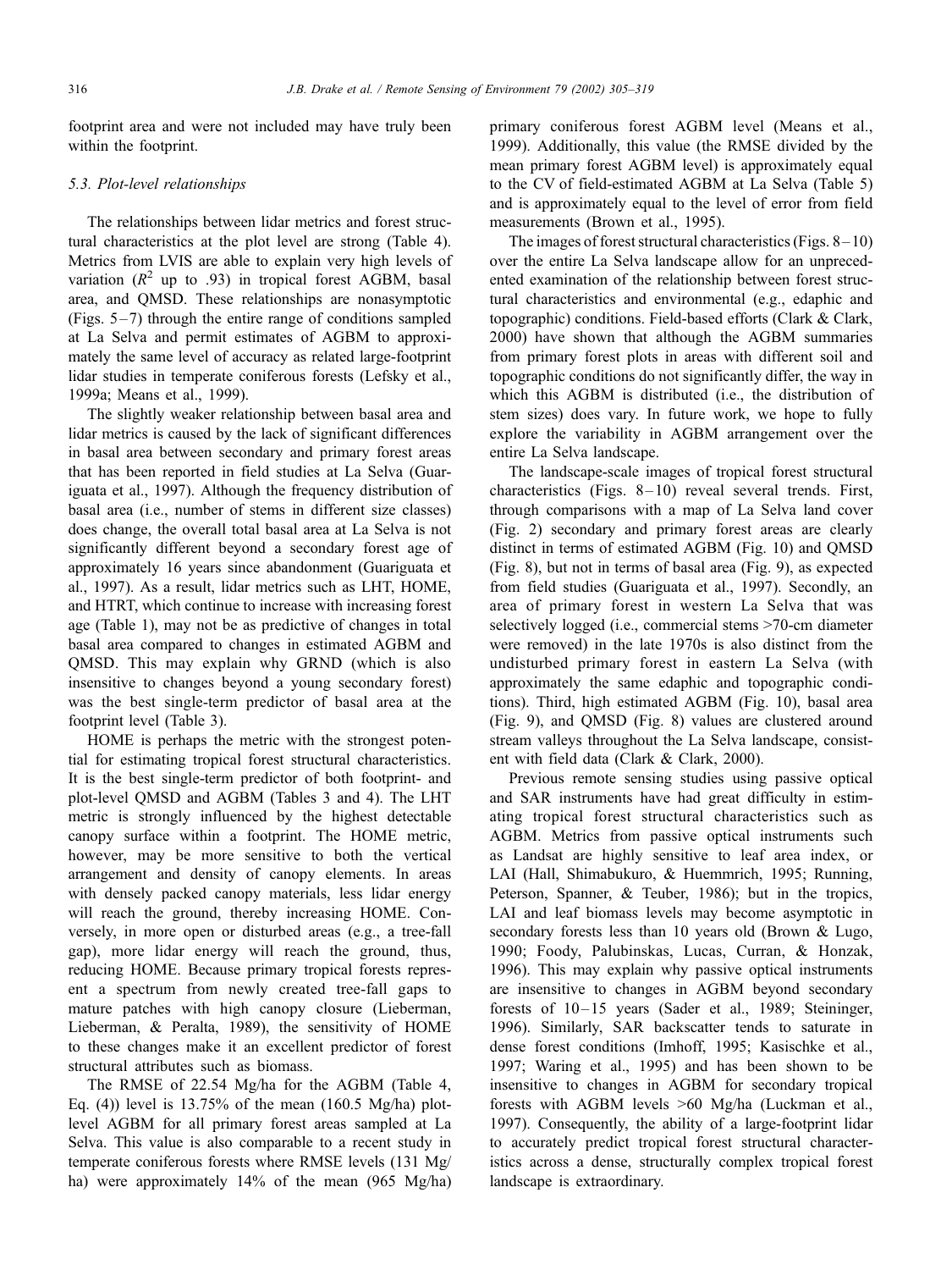footprint area and were not included may have truly been within the footprint.

## 5.3. Plot-level relationships

The relationships between lidar metrics and forest structural characteristics at the plot level are strong (Table 4). Metrics from LVIS are able to explain very high levels of variation  $(R^2 \text{ up to } .93)$  in tropical forest AGBM, basal area, and QMSD. These relationships are nonasymptotic (Figs.  $5-7$ ) through the entire range of conditions sampled at La Selva and permit estimates of AGBM to approximately the same level of accuracy as related large-footprint lidar studies in temperate coniferous forests (Lefsky et al., 1999a; Means et al., 1999).

The slightly weaker relationship between basal area and lidar metrics is caused by the lack of significant differences in basal area between secondary and primary forest areas that has been reported in field studies at La Selva (Guariguata et al., 1997). Although the frequency distribution of basal area (i.e., number of stems in different size classes) does change, the overall total basal area at La Selva is not significantly different beyond a secondary forest age of approximately 16 years since abandonment (Guariguata et al., 1997). As a result, lidar metrics such as LHT, HOME, and HTRT, which continue to increase with increasing forest age (Table 1), may not be as predictive of changes in total basal area compared to changes in estimated AGBM and QMSD. This may explain why GRND (which is also insensitive to changes beyond a young secondary forest) was the best single-term predictor of basal area at the footprint level (Table 3).

HOME is perhaps the metric with the strongest potential for estimating tropical forest structural characteristics. It is the best single-term predictor of both footprint- and plot-level QMSD and AGBM (Tables 3 and 4). The LHT metric is strongly influenced by the highest detectable canopy surface within a footprint. The HOME metric, however, may be more sensitive to both the vertical arrangement and density of canopy elements. In areas with densely packed canopy materials, less lidar energy will reach the ground, thereby increasing HOME. Conversely, in more open or disturbed areas (e.g., a tree-fall gap), more lidar energy will reach the ground, thus, reducing HOME. Because primary tropical forests represent a spectrum from newly created tree-fall gaps to mature patches with high canopy closure (Lieberman, Lieberman, & Peralta, 1989), the sensitivity of HOME to these changes make it an excellent predictor of forest structural attributes such as biomass.

The RMSE of 22.54 Mg/ha for the AGBM (Table 4, Eq. (4)) level is  $13.75\%$  of the mean (160.5 Mg/ha) plotlevel AGBM for all primary forest areas sampled at La Selva. This value is also comparable to a recent study in temperate coniferous forests where RMSE levels (131 Mg/ ha) were approximately 14% of the mean (965 Mg/ha) primary coniferous forest AGBM level (Means et al., 1999). Additionally, this value (the RMSE divided by the mean primary forest AGBM level) is approximately equal to the CV of field-estimated AGBM at La Selva (Table 5) and is approximately equal to the level of error from field measurements (Brown et al., 1995).

The images of forest structural characteristics (Figs.  $8-10$ ) over the entire La Selva landscape allow for an unprecedented examination of the relationship between forest structural characteristics and environmental (e.g., edaphic and topographic) conditions. Field-based efforts (Clark & Clark, 2000) have shown that although the AGBM summaries from primary forest plots in areas with different soil and topographic conditions do not significantly differ, the way in which this AGBM is distributed (i.e., the distribution of stem sizes) does vary. In future work, we hope to fully explore the variability in AGBM arrangement over the entire La Selva landscape.

The landscape-scale images of tropical forest structural characteristics (Figs.  $8-10$ ) reveal several trends. First, through comparisons with a map of La Selva land cover (Fig. 2) secondary and primary forest areas are clearly distinct in terms of estimated AGBM (Fig. 10) and QMSD (Fig. 8), but not in terms of basal area (Fig. 9), as expected from field studies (Guariguata et al., 1997). Secondly, an area of primary forest in western La Selva that was selectively logged (i.e., commercial stems >70-cm diameter were removed) in the late 1970s is also distinct from the undisturbed primary forest in eastern La Selva (with approximately the same edaphic and topographic conditions). Third, high estimated AGBM (Fig. 10), basal area (Fig. 9), and QMSD (Fig. 8) values are clustered around stream valleys throughout the La Selva landscape, consistent with field data (Clark & Clark, 2000).

Previous remote sensing studies using passive optical and SAR instruments have had great difficulty in estimating tropical forest structural characteristics such as AGBM. Metrics from passive optical instruments such as Landsat are highly sensitive to leaf area index, or LAI (Hall, Shimabukuro, & Huemmrich, 1995; Running, Peterson, Spanner, & Teuber, 1986); but in the tropics, LAI and leaf biomass levels may become asymptotic in secondary forests less than 10 years old (Brown & Lugo, 1990; Foody, Palubinskas, Lucas, Curran, & Honzak, 1996). This may explain why passive optical instruments are insensitive to changes in AGBM beyond secondary forests of 10-15 years (Sader et al., 1989; Steininger, 1996). Similarly, SAR backscatter tends to saturate in dense forest conditions (Imhoff, 1995; Kasischke et al., 1997; Waring et al., 1995) and has been shown to be insensitive to changes in AGBM for secondary tropical forests with AGBM levels >60 Mg/ha (Luckman et al., 1997). Consequently, the ability of a large-footprint lidar to accurately predict tropical forest structural characteristics across a dense, structurally complex tropical forest landscape is extraordinary.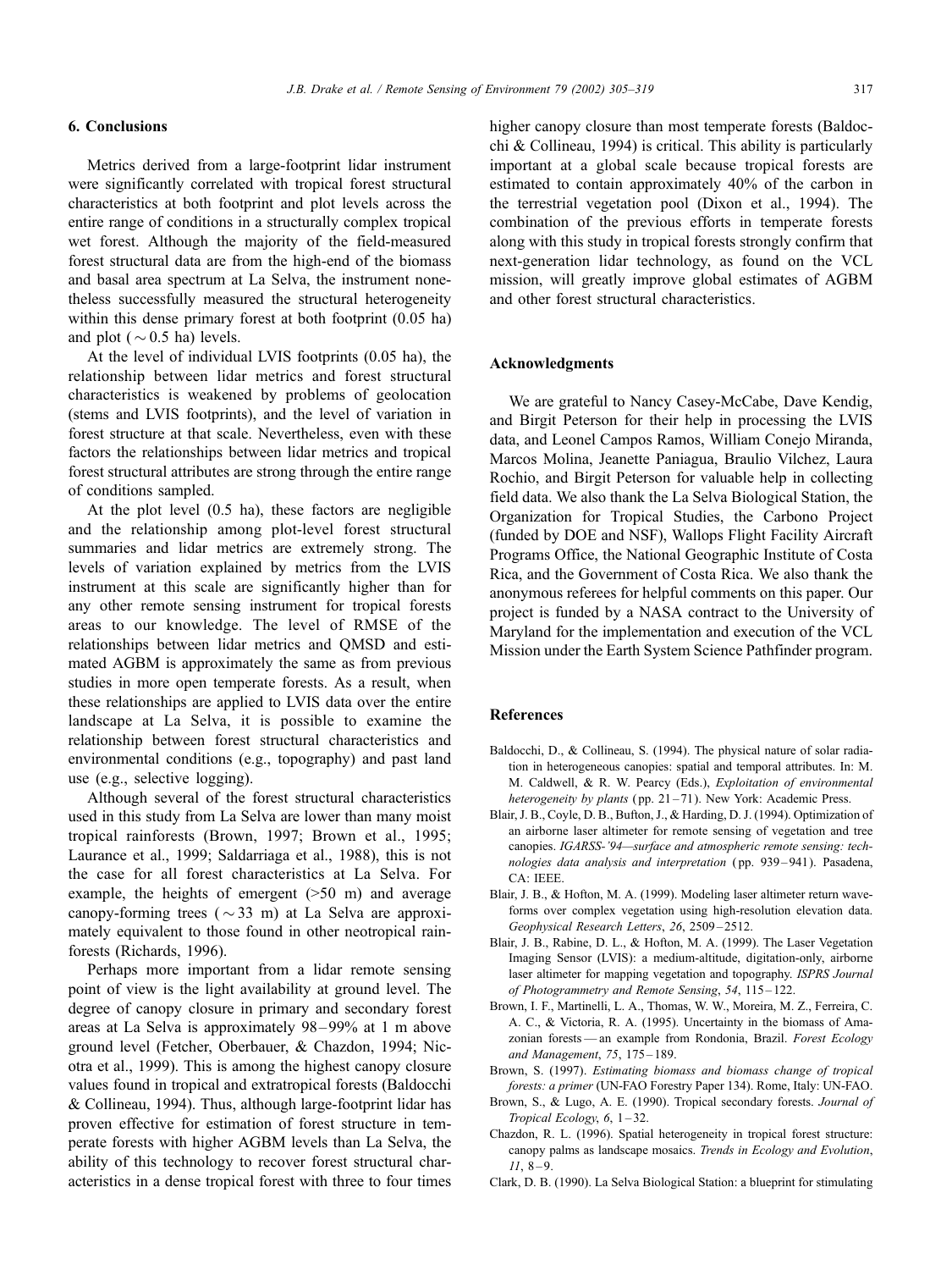# 6. Conclusions

Metrics derived from a large-footprint lidar instrument were significantly correlated with tropical forest structural characteristics at both footprint and plot levels across the entire range of conditions in a structurally complex tropical wet forest. Although the majority of the field-measured forest structural data are from the high-end of the biomass and basal area spectrum at La Selva, the instrument nonetheless successfully measured the structural heterogeneity within this dense primary forest at both footprint (0.05 ha)

and plot ( $\sim$  0.5 ha) levels. At the level of individual LVIS footprints (0.05 ha), the relationship between lidar metrics and forest structural characteristics is weakened by problems of geolocation (stems and LVIS footprints), and the level of variation in forest structure at that scale. Nevertheless, even with these factors the relationships between lidar metrics and tropical forest structural attributes are strong through the entire range of conditions sampled.

At the plot level (0.5 ha), these factors are negligible and the relationship among plot-level forest structural summaries and lidar metrics are extremely strong. The levels of variation explained by metrics from the LVIS instrument at this scale are significantly higher than for any other remote sensing instrument for tropical forests areas to our knowledge. The level of RMSE of the relationships between lidar metrics and QMSD and estimated AGBM is approximately the same as from previous studies in more open temperate forests. As a result, when these relationships are applied to LVIS data over the entire landscape at La Selva, it is possible to examine the relationship between forest structural characteristics and environmental conditions (e.g., topography) and past land use (e.g., selective logging).

Although several of the forest structural characteristics used in this study from La Selva are lower than many moist tropical rainforests (Brown, 1997; Brown et al., 1995; Laurance et al., 1999; Saldarriaga et al., 1988), this is not the case for all forest characteristics at La Selva. For example, the heights of emergent  $(50 \text{ m})$  and average canopy-forming trees ( $\sim$ 33 m) at La Selva are approximately equivalent to those found in other neotropical rainforests (Richards, 1996).

Perhaps more important from a lidar remote sensing point of view is the light availability at ground level. The degree of canopy closure in primary and secondary forest areas at La Selva is approximately 98– 99% at 1 m above ground level (Fetcher, Oberbauer, & Chazdon, 1994; Nicotra et al., 1999). This is among the highest canopy closure values found in tropical and extratropical forests (Baldocchi & Collineau, 1994). Thus, although large-footprint lidar has proven effective for estimation of forest structure in temperate forests with higher AGBM levels than La Selva, the ability of this technology to recover forest structural characteristics in a dense tropical forest with three to four times

higher canopy closure than most temperate forests (Baldocchi & Collineau, 1994) is critical. This ability is particularly important at a global scale because tropical forests are estimated to contain approximately 40% of the carbon in the terrestrial vegetation pool (Dixon et al., 1994). The combination of the previous efforts in temperate forests along with this study in tropical forests strongly confirm that next-generation lidar technology, as found on the VCL mission, will greatly improve global estimates of AGBM and other forest structural characteristics.

#### Acknowledgments

We are grateful to Nancy Casey-McCabe, Dave Kendig, and Birgit Peterson for their help in processing the LVIS data, and Leonel Campos Ramos, William Conejo Miranda, Marcos Molina, Jeanette Paniagua, Braulio Vilchez, Laura Rochio, and Birgit Peterson for valuable help in collecting field data. We also thank the La Selva Biological Station, the Organization for Tropical Studies, the Carbono Project (funded by DOE and NSF), Wallops Flight Facility Aircraft Programs Office, the National Geographic Institute of Costa Rica, and the Government of Costa Rica. We also thank the anonymous referees for helpful comments on this paper. Our project is funded by a NASA contract to the University of Maryland for the implementation and execution of the VCL Mission under the Earth System Science Pathfinder program.

#### References

- Baldocchi, D., & Collineau, S. (1994). The physical nature of solar radiation in heterogeneous canopies: spatial and temporal attributes. In: M. M. Caldwell, & R. W. Pearcy (Eds.), Exploitation of environmental heterogeneity by plants (pp. 21-71). New York: Academic Press.
- Blair, J. B., Coyle, D. B., Bufton, J., & Harding, D. J. (1994). Optimization of an airborne laser altimeter for remote sensing of vegetation and tree canopies. IGARSS-'94—surface and atmospheric remote sensing: technologies data analysis and interpretation ( pp. 939 – 941). Pasadena,  $CA$  · IEEE.
- Blair, J. B., & Hofton, M. A. (1999). Modeling laser altimeter return waveforms over complex vegetation using high-resolution elevation data. Geophysical Research Letters, 26, 2509 – 2512.
- Blair, J. B., Rabine, D. L., & Hofton, M. A. (1999). The Laser Vegetation Imaging Sensor (LVIS): a medium-altitude, digitation-only, airborne laser altimeter for mapping vegetation and topography. ISPRS Journal of Photogrammetry and Remote Sensing, 54, 115 – 122.
- Brown, I. F., Martinelli, L. A., Thomas, W. W., Moreira, M. Z., Ferreira, C. A. C., & Victoria, R. A. (1995). Uncertainty in the biomass of Amazonian forests — an example from Rondonia, Brazil. Forest Ecology and Management, 75, 175-189.
- Brown, S. (1997). Estimating biomass and biomass change of tropical forests: a primer (UN-FAO Forestry Paper 134). Rome, Italy: UN-FAO.
- Brown, S., & Lugo, A. E. (1990). Tropical secondary forests. Journal of Tropical Ecology, 6, 1-32.
- Chazdon, R. L. (1996). Spatial heterogeneity in tropical forest structure: canopy palms as landscape mosaics. Trends in Ecology and Evolution,  $11, 8 - 9.$
- Clark, D. B. (1990). La Selva Biological Station: a blueprint for stimulating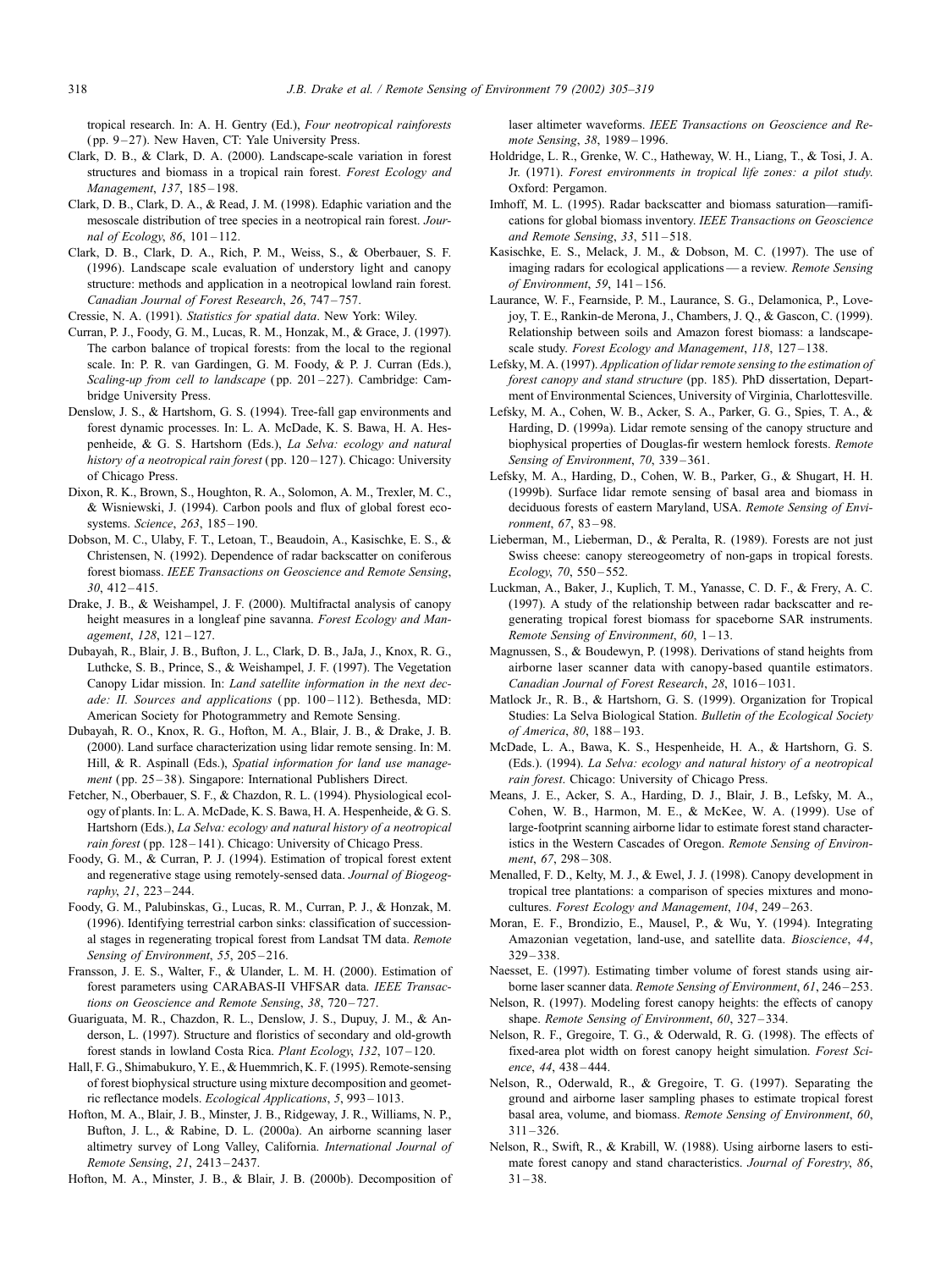tropical research. In: A. H. Gentry (Ed.), Four neotropical rainforests ( pp. 9 – 27). New Haven, CT: Yale University Press.

- Clark, D. B., & Clark, D. A. (2000). Landscape-scale variation in forest structures and biomass in a tropical rain forest. Forest Ecology and Management, 137, 185-198.
- Clark, D. B., Clark, D. A., & Read, J. M. (1998). Edaphic variation and the mesoscale distribution of tree species in a neotropical rain forest. Journal of Ecology, 86, 101-112.
- Clark, D. B., Clark, D. A., Rich, P. M., Weiss, S., & Oberbauer, S. F. (1996). Landscape scale evaluation of understory light and canopy structure: methods and application in a neotropical lowland rain forest. Canadian Journal of Forest Research, 26, 747 – 757.

Cressie, N. A. (1991). Statistics for spatial data. New York: Wiley.

- Curran, P. J., Foody, G. M., Lucas, R. M., Honzak, M., & Grace, J. (1997). The carbon balance of tropical forests: from the local to the regional scale. In: P. R. van Gardingen, G. M. Foody, & P. J. Curran (Eds.), Scaling-up from cell to landscape (pp. 201-227). Cambridge: Cambridge University Press.
- Denslow, J. S., & Hartshorn, G. S. (1994). Tree-fall gap environments and forest dynamic processes. In: L. A. McDade, K. S. Bawa, H. A. Hespenheide, & G. S. Hartshorn (Eds.), La Selva: ecology and natural history of a neotropical rain forest (pp. 120-127). Chicago: University of Chicago Press.
- Dixon, R. K., Brown, S., Houghton, R. A., Solomon, A. M., Trexler, M. C., & Wisniewski, J. (1994). Carbon pools and flux of global forest ecosystems. Science, 263, 185-190.
- Dobson, M. C., Ulaby, F. T., Letoan, T., Beaudoin, A., Kasischke, E. S., & Christensen, N. (1992). Dependence of radar backscatter on coniferous forest biomass. IEEE Transactions on Geoscience and Remote Sensing, 30, 412 – 415.
- Drake, J. B., & Weishampel, J. F. (2000). Multifractal analysis of canopy height measures in a longleaf pine savanna. Forest Ecology and Management, 128, 121 – 127.
- Dubayah, R., Blair, J. B., Bufton, J. L., Clark, D. B., JaJa, J., Knox, R. G., Luthcke, S. B., Prince, S., & Weishampel, J. F. (1997). The Vegetation Canopy Lidar mission. In: Land satellite information in the next decade: II. Sources and applications (pp. 100-112). Bethesda, MD: American Society for Photogrammetry and Remote Sensing.
- Dubayah, R. O., Knox, R. G., Hofton, M. A., Blair, J. B., & Drake, J. B. (2000). Land surface characterization using lidar remote sensing. In: M. Hill, & R. Aspinall (Eds.), Spatial information for land use management (pp. 25-38). Singapore: International Publishers Direct.
- Fetcher, N., Oberbauer, S. F., & Chazdon, R. L. (1994). Physiological ecology of plants. In: L. A. McDade, K. S. Bawa, H. A. Hespenheide, & G. S. Hartshorn (Eds.), La Selva: ecology and natural history of a neotropical rain forest (pp. 128-141). Chicago: University of Chicago Press.
- Foody, G. M., & Curran, P. J. (1994). Estimation of tropical forest extent and regenerative stage using remotely-sensed data. Journal of Biogeography, 21, 223 – 244.
- Foody, G. M., Palubinskas, G., Lucas, R. M., Curran, P. J., & Honzak, M. (1996). Identifying terrestrial carbon sinks: classification of successional stages in regenerating tropical forest from Landsat TM data. Remote Sensing of Environment, 55, 205-216.
- Fransson, J. E. S., Walter, F., & Ulander, L. M. H. (2000). Estimation of forest parameters using CARABAS-II VHFSAR data. IEEE Transactions on Geoscience and Remote Sensing, 38, 720-727.
- Guariguata, M. R., Chazdon, R. L., Denslow, J. S., Dupuy, J. M., & Anderson, L. (1997). Structure and floristics of secondary and old-growth forest stands in lowland Costa Rica. Plant Ecology, 132, 107 – 120.
- Hall, F. G., Shimabukuro, Y. E., & Huemmrich, K. F. (1995). Remote-sensing of forest biophysical structure using mixture decomposition and geometric reflectance models. Ecological Applications, 5, 993 – 1013.
- Hofton, M. A., Blair, J. B., Minster, J. B., Ridgeway, J. R., Williams, N. P., Bufton, J. L., & Rabine, D. L. (2000a). An airborne scanning laser altimetry survey of Long Valley, California. International Journal of Remote Sensing, 21, 2413 – 2437.

Hofton, M. A., Minster, J. B., & Blair, J. B. (2000b). Decomposition of

laser altimeter waveforms. IEEE Transactions on Geoscience and Remote Sensing, 38, 1989 – 1996.

- Holdridge, L. R., Grenke, W. C., Hatheway, W. H., Liang, T., & Tosi, J. A. Jr. (1971). Forest environments in tropical life zones: a pilot study. Oxford: Pergamon.
- Imhoff, M. L. (1995). Radar backscatter and biomass saturation—ramifications for global biomass inventory. IEEE Transactions on Geoscience and Remote Sensing,  $33, 511 - 518$ .
- Kasischke, E. S., Melack, J. M., & Dobson, M. C. (1997). The use of imaging radars for ecological applications — a review. Remote Sensing of Environment, 59, 141 – 156.
- Laurance, W. F., Fearnside, P. M., Laurance, S. G., Delamonica, P., Lovejoy, T. E., Rankin-de Merona, J., Chambers, J. Q., & Gascon, C. (1999). Relationship between soils and Amazon forest biomass: a landscapescale study. Forest Ecology and Management, 118, 127-138.
- Lefsky, M. A. (1997). Application of lidar remote sensing to the estimation of forest canopy and stand structure (pp. 185). PhD dissertation, Department of Environmental Sciences, University of Virginia, Charlottesville.
- Lefsky, M. A., Cohen, W. B., Acker, S. A., Parker, G. G., Spies, T. A., & Harding, D. (1999a). Lidar remote sensing of the canopy structure and biophysical properties of Douglas-fir western hemlock forests. Remote Sensing of Environment, 70, 339-361.
- Lefsky, M. A., Harding, D., Cohen, W. B., Parker, G., & Shugart, H. H. (1999b). Surface lidar remote sensing of basal area and biomass in deciduous forests of eastern Maryland, USA. Remote Sensing of Environment, 67, 83 – 98.
- Lieberman, M., Lieberman, D., & Peralta, R. (1989). Forests are not just Swiss cheese: canopy stereogeometry of non-gaps in tropical forests. Ecology, 70, 550 – 552.
- Luckman, A., Baker, J., Kuplich, T. M., Yanasse, C. D. F., & Frery, A. C. (1997). A study of the relationship between radar backscatter and regenerating tropical forest biomass for spaceborne SAR instruments. Remote Sensing of Environment, 60, 1-13.
- Magnussen, S., & Boudewyn, P. (1998). Derivations of stand heights from airborne laser scanner data with canopy-based quantile estimators. Canadian Journal of Forest Research, 28, 1016-1031.
- Matlock Jr., R. B., & Hartshorn, G. S. (1999). Organization for Tropical Studies: La Selva Biological Station. Bulletin of the Ecological Society of America, 80, 188 – 193.
- McDade, L. A., Bawa, K. S., Hespenheide, H. A., & Hartshorn, G. S. (Eds.). (1994). La Selva: ecology and natural history of a neotropical rain forest. Chicago: University of Chicago Press.
- Means, J. E., Acker, S. A., Harding, D. J., Blair, J. B., Lefsky, M. A., Cohen, W. B., Harmon, M. E., & McKee, W. A. (1999). Use of large-footprint scanning airborne lidar to estimate forest stand characteristics in the Western Cascades of Oregon. Remote Sensing of Environment, 67, 298-308.
- Menalled, F. D., Kelty, M. J., & Ewel, J. J. (1998). Canopy development in tropical tree plantations: a comparison of species mixtures and monocultures. Forest Ecology and Management, 104, 249-263.
- Moran, E. F., Brondizio, E., Mausel, P., & Wu, Y. (1994). Integrating Amazonian vegetation, land-use, and satellite data. Bioscience, 44,  $329 - 338.$
- Naesset, E. (1997). Estimating timber volume of forest stands using airborne laser scanner data. Remote Sensing of Environment, 61, 246 – 253.
- Nelson, R. (1997). Modeling forest canopy heights: the effects of canopy shape. Remote Sensing of Environment, 60, 327–334.
- Nelson, R. F., Gregoire, T. G., & Oderwald, R. G. (1998). The effects of fixed-area plot width on forest canopy height simulation. Forest Science, 44, 438 – 444.
- Nelson, R., Oderwald, R., & Gregoire, T. G. (1997). Separating the ground and airborne laser sampling phases to estimate tropical forest basal area, volume, and biomass. Remote Sensing of Environment, 60,  $311 - 326$ .
- Nelson, R., Swift, R., & Krabill, W. (1988). Using airborne lasers to estimate forest canopy and stand characteristics. Journal of Forestry, 86,  $31 - 38.$